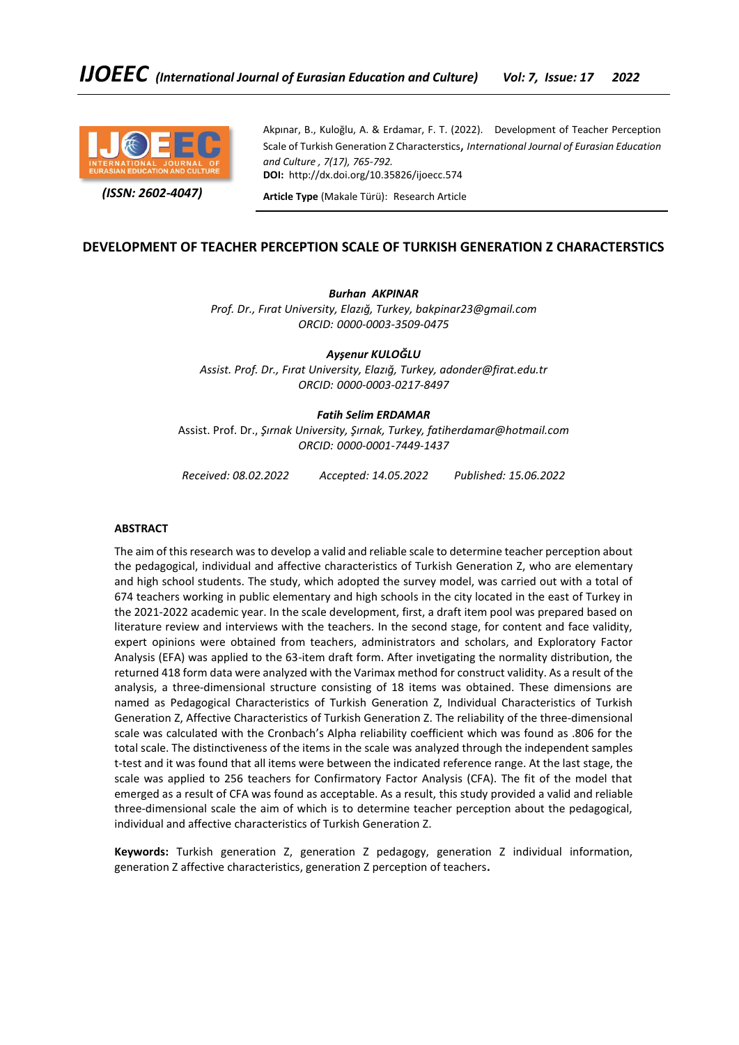

 *(ISSN: 2602-4047)*

Akpınar, B., Kuloğlu, A. & Erdamar, F. T. (2022). Development of Teacher Perception Scale of Turkish Generation Z Characterstics, *International Journal of Eurasian Education and Culture , 7(17), 765-792.* **DOI:** http://dx.doi.org/10.35826/ijoecc.574

**Article Type** (Makale Türü): Research Article

# **DEVELOPMENT OF TEACHER PERCEPTION SCALE OF TURKISH GENERATION Z CHARACTERSTICS**

*Burhan AKPINAR Prof. Dr., Fırat University, Elazığ, Turkey, bakpinar23@gmail.com ORCID: 0000-0003-3509-0475*

*Ayşenur KULOĞLU Assist. Prof. Dr., Fırat University, Elazığ, Turkey, adonder@firat.edu.tr ORCID: 0000-0003-0217-8497*

## *Fatih Selim ERDAMAR*

Assist. Prof. Dr., *Şırnak University, Şırnak, Turkey, fatiherdamar@hotmail.com ORCID: 0000-0001-7449-1437*

*Received: 08.02.2022 Accepted: 14.05.2022 Published: 15.06.2022*

#### **ABSTRACT**

The aim of this research was to develop a valid and reliable scale to determine teacher perception about the pedagogical, individual and affective characteristics of Turkish Generation Z, who are elementary and high school students. The study, which adopted the survey model, was carried out with a total of 674 teachers working in public elementary and high schools in the city located in the east of Turkey in the 2021-2022 academic year. In the scale development, first, a draft item pool was prepared based on literature review and interviews with the teachers. In the second stage, for content and face validity, expert opinions were obtained from teachers, administrators and scholars, and Exploratory Factor Analysis (EFA) was applied to the 63-item draft form. After invetigating the normality distribution, the returned 418 form data were analyzed with the Varimax method for construct validity. As a result of the analysis, a three-dimensional structure consisting of 18 items was obtained. These dimensions are named as Pedagogical Characteristics of Turkish Generation Z, Individual Characteristics of Turkish Generation Z, Affective Characteristics of Turkish Generation Z. The reliability of the three-dimensional scale was calculated with the Cronbach's Alpha reliability coefficient which was found as .806 for the total scale. The distinctiveness of the items in the scale was analyzed through the independent samples t-test and it was found that all items were between the indicated reference range. At the last stage, the scale was applied to 256 teachers for Confirmatory Factor Analysis (CFA). The fit of the model that emerged as a result of CFA was found as acceptable. As a result, this study provided a valid and reliable three-dimensional scale the aim of which is to determine teacher perception about the pedagogical, individual and affective characteristics of Turkish Generation Z.

**Keywords:** Turkish generation Z, generation Z pedagogy, generation Z individual information, generation Z affective characteristics, generation Z perception of teachers**.**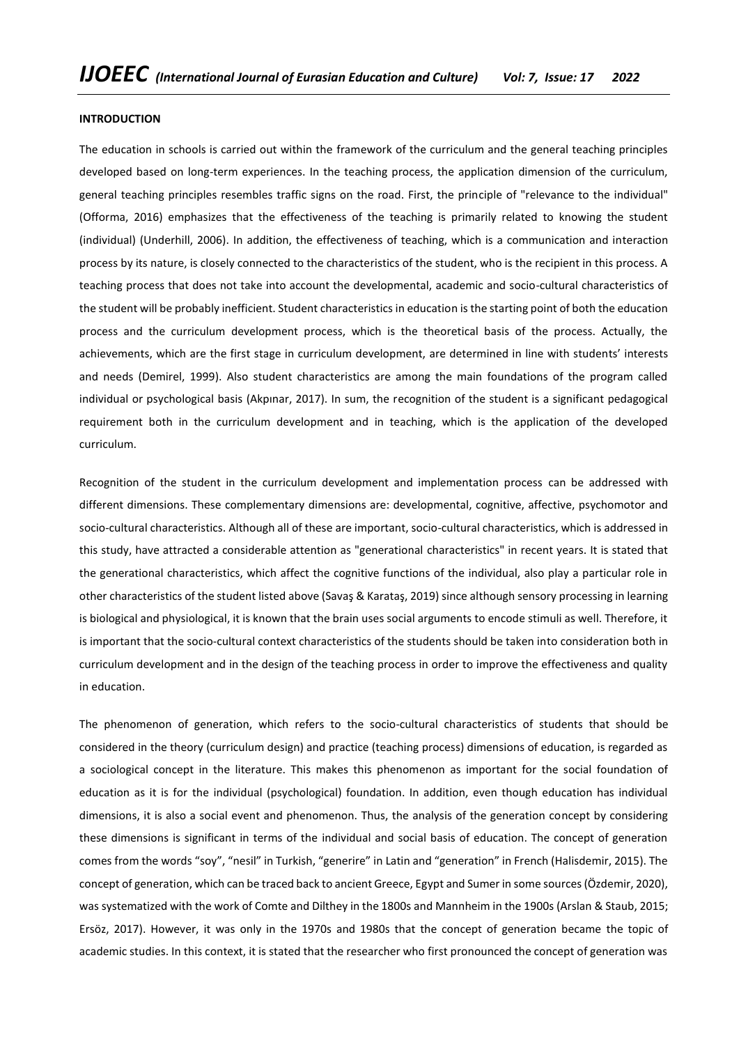#### **INTRODUCTION**

The education in schools is carried out within the framework of the curriculum and the general teaching principles developed based on long-term experiences. In the teaching process, the application dimension of the curriculum, general teaching principles resembles traffic signs on the road. First, the principle of "relevance to the individual" (Offorma, 2016) emphasizes that the effectiveness of the teaching is primarily related to knowing the student (individual) (Underhill, 2006). In addition, the effectiveness of teaching, which is a communication and interaction process by its nature, is closely connected to the characteristics of the student, who is the recipient in this process. A teaching process that does not take into account the developmental, academic and socio-cultural characteristics of the student will be probably inefficient. Student characteristics in education is the starting point of both the education process and the curriculum development process, which is the theoretical basis of the process. Actually, the achievements, which are the first stage in curriculum development, are determined in line with students' interests and needs (Demirel, 1999). Also student characteristics are among the main foundations of the program called individual or psychological basis (Akpınar, 2017). In sum, the recognition of the student is a significant pedagogical requirement both in the curriculum development and in teaching, which is the application of the developed curriculum.

Recognition of the student in the curriculum development and implementation process can be addressed with different dimensions. These complementary dimensions are: developmental, cognitive, affective, psychomotor and socio-cultural characteristics. Although all of these are important, socio-cultural characteristics, which is addressed in this study, have attracted a considerable attention as "generational characteristics" in recent years. It is stated that the generational characteristics, which affect the cognitive functions of the individual, also play a particular role in other characteristics of the student listed above (Savaş & Karataş, 2019) since although sensory processing in learning is biological and physiological, it is known that the brain uses social arguments to encode stimuli as well. Therefore, it is important that the socio-cultural context characteristics of the students should be taken into consideration both in curriculum development and in the design of the teaching process in order to improve the effectiveness and quality in education.

The phenomenon of generation, which refers to the socio-cultural characteristics of students that should be considered in the theory (curriculum design) and practice (teaching process) dimensions of education, is regarded as a sociological concept in the literature. This makes this phenomenon as important for the social foundation of education as it is for the individual (psychological) foundation. In addition, even though education has individual dimensions, it is also a social event and phenomenon. Thus, the analysis of the generation concept by considering these dimensions is significant in terms of the individual and social basis of education. The concept of generation comes from the words "soy", "nesil" in Turkish, "generire" in Latin and "generation" in French (Halisdemir, 2015). The concept of generation, which can be traced back to ancient Greece, Egypt and Sumer in some sources (Özdemir, 2020), was systematized with the work of Comte and Dilthey in the 1800s and Mannheim in the 1900s (Arslan & Staub, 2015; Ersöz, 2017). However, it was only in the 1970s and 1980s that the concept of generation became the topic of academic studies. In this context, it is stated that the researcher who first pronounced the concept of generation was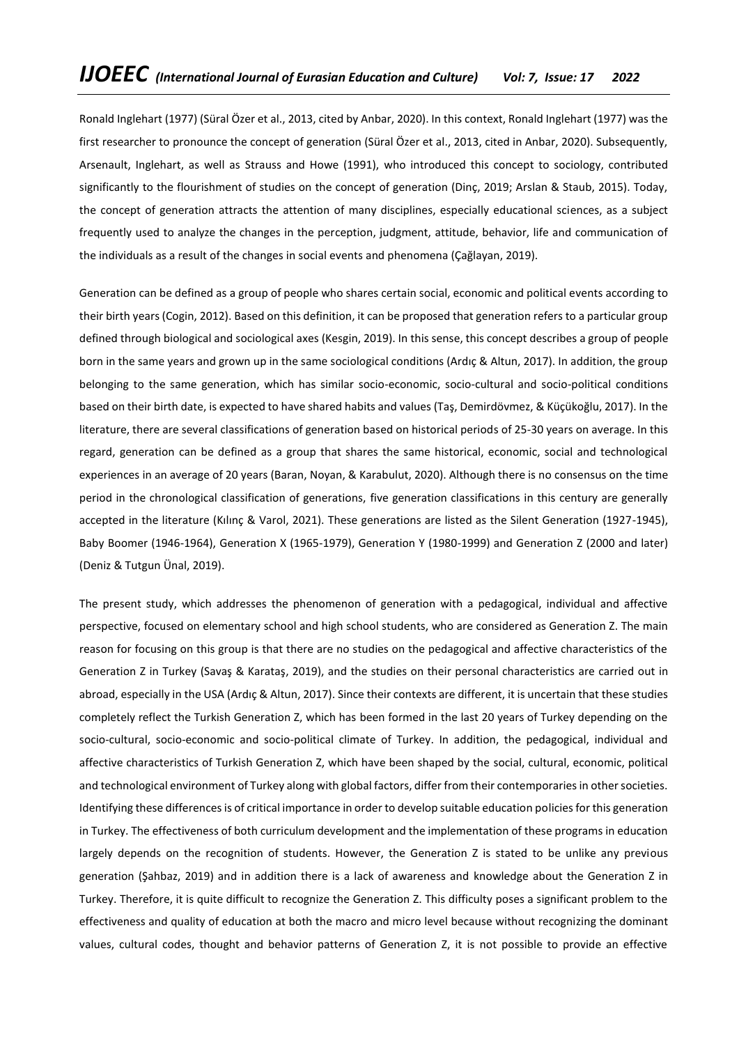Ronald Inglehart (1977) (Süral Özer et al., 2013, cited by Anbar, 2020). In this context, Ronald Inglehart (1977) was the first researcher to pronounce the concept of generation (Süral Özer et al., 2013, cited in Anbar, 2020). Subsequently, Arsenault, Inglehart, as well as Strauss and Howe (1991), who introduced this concept to sociology, contributed significantly to the flourishment of studies on the concept of generation (Dinç, 2019; Arslan & Staub, 2015). Today, the concept of generation attracts the attention of many disciplines, especially educational sciences, as a subject frequently used to analyze the changes in the perception, judgment, attitude, behavior, life and communication of the individuals as a result of the changes in social events and phenomena (Çağlayan, 2019).

Generation can be defined as a group of people who shares certain social, economic and political events according to their birth years (Cogin, 2012). Based on this definition, it can be proposed that generation refers to a particular group defined through biological and sociological axes (Kesgin, 2019). In this sense, this concept describes a group of people born in the same years and grown up in the same sociological conditions (Ardıç & Altun, 2017). In addition, the group belonging to the same generation, which has similar socio-economic, socio-cultural and socio-political conditions based on their birth date, is expected to have shared habits and values (Taş, Demirdövmez, & Küçükoğlu, 2017). In the literature, there are several classifications of generation based on historical periods of 25-30 years on average. In this regard, generation can be defined as a group that shares the same historical, economic, social and technological experiences in an average of 20 years (Baran, Noyan, & Karabulut, 2020). Although there is no consensus on the time period in the chronological classification of generations, five generation classifications in this century are generally accepted in the literature (Kılınç & Varol, 2021). These generations are listed as the Silent Generation (1927-1945), Baby Boomer (1946-1964), Generation X (1965-1979), Generation Y (1980-1999) and Generation Z (2000 and later) (Deniz & Tutgun Ünal, 2019).

The present study, which addresses the phenomenon of generation with a pedagogical, individual and affective perspective, focused on elementary school and high school students, who are considered as Generation Z. The main reason for focusing on this group is that there are no studies on the pedagogical and affective characteristics of the Generation Z in Turkey (Savaş & Karataş, 2019), and the studies on their personal characteristics are carried out in abroad, especially in the USA (Ardıç & Altun, 2017). Since their contexts are different, it is uncertain that these studies completely reflect the Turkish Generation Z, which has been formed in the last 20 years of Turkey depending on the socio-cultural, socio-economic and socio-political climate of Turkey. In addition, the pedagogical, individual and affective characteristics of Turkish Generation Z, which have been shaped by the social, cultural, economic, political and technological environment of Turkey along with global factors, differ from their contemporaries in other societies. Identifying these differences is of critical importance in order to develop suitable education policies for this generation in Turkey. The effectiveness of both curriculum development and the implementation of these programs in education largely depends on the recognition of students. However, the Generation Z is stated to be unlike any previous generation (Şahbaz, 2019) and in addition there is a lack of awareness and knowledge about the Generation Z in Turkey. Therefore, it is quite difficult to recognize the Generation Z. This difficulty poses a significant problem to the effectiveness and quality of education at both the macro and micro level because without recognizing the dominant values, cultural codes, thought and behavior patterns of Generation Z, it is not possible to provide an effective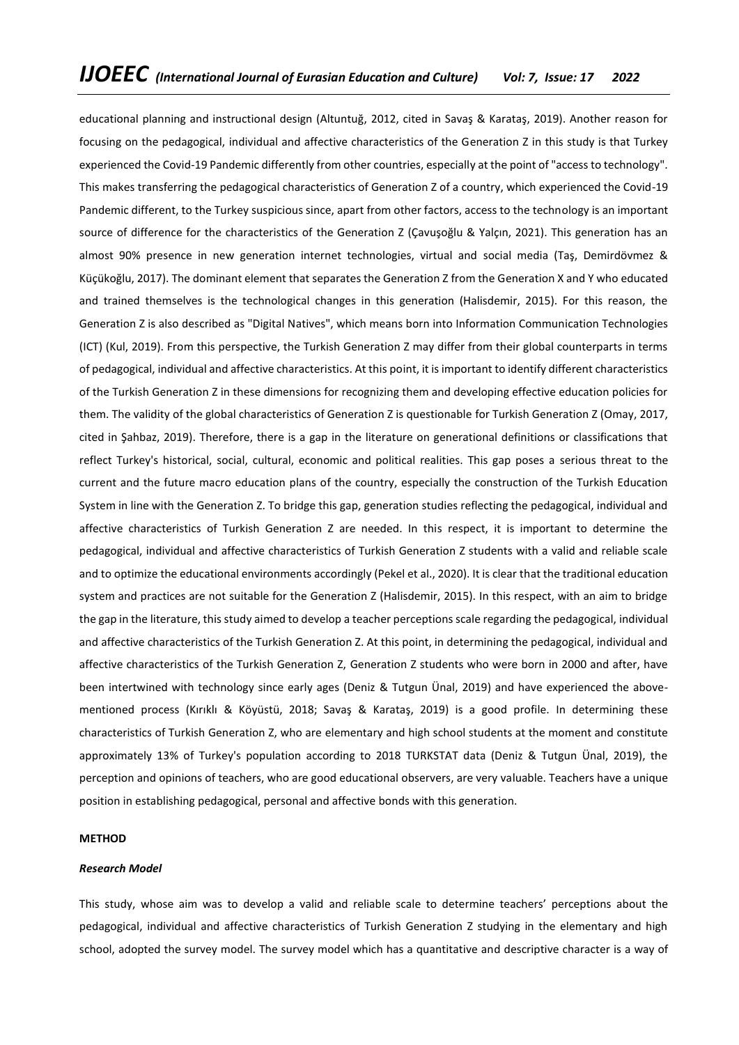educational planning and instructional design (Altuntuğ, 2012, cited in Savaş & Karataş, 2019). Another reason for focusing on the pedagogical, individual and affective characteristics of the Generation Z in this study is that Turkey experienced the Covid-19 Pandemic differently from other countries, especially at the point of "access to technology". This makes transferring the pedagogical characteristics of Generation Z of a country, which experienced the Covid-19 Pandemic different, to the Turkey suspicious since, apart from other factors, access to the technology is an important source of difference for the characteristics of the Generation Z (Çavuşoğlu & Yalçın, 2021). This generation has an almost 90% presence in new generation internet technologies, virtual and social media (Taş, Demirdövmez & Küçükoğlu, 2017). The dominant element that separates the Generation Z from the Generation X and Y who educated and trained themselves is the technological changes in this generation (Halisdemir, 2015). For this reason, the Generation Z is also described as "Digital Natives", which means born into Information Communication Technologies (ICT) (Kul, 2019). From this perspective, the Turkish Generation Z may differ from their global counterparts in terms of pedagogical, individual and affective characteristics. At this point, it is important to identify different characteristics of the Turkish Generation Z in these dimensions for recognizing them and developing effective education policies for them. The validity of the global characteristics of Generation Z is questionable for Turkish Generation Z (Omay, 2017, cited in Şahbaz, 2019). Therefore, there is a gap in the literature on generational definitions or classifications that reflect Turkey's historical, social, cultural, economic and political realities. This gap poses a serious threat to the current and the future macro education plans of the country, especially the construction of the Turkish Education System in line with the Generation Z. To bridge this gap, generation studies reflecting the pedagogical, individual and affective characteristics of Turkish Generation Z are needed. In this respect, it is important to determine the pedagogical, individual and affective characteristics of Turkish Generation Z students with a valid and reliable scale and to optimize the educational environments accordingly (Pekel et al., 2020). It is clear that the traditional education system and practices are not suitable for the Generation Z (Halisdemir, 2015). In this respect, with an aim to bridge the gap in the literature, this study aimed to develop a teacher perceptions scale regarding the pedagogical, individual and affective characteristics of the Turkish Generation Z. At this point, in determining the pedagogical, individual and affective characteristics of the Turkish Generation Z, Generation Z students who were born in 2000 and after, have been intertwined with technology since early ages (Deniz & Tutgun Ünal, 2019) and have experienced the abovementioned process (Kırıklı & Köyüstü, 2018; Savaş & Karataş, 2019) is a good profile. In determining these characteristics of Turkish Generation Z, who are elementary and high school students at the moment and constitute approximately 13% of Turkey's population according to 2018 TURKSTAT data (Deniz & Tutgun Ünal, 2019), the perception and opinions of teachers, who are good educational observers, are very valuable. Teachers have a unique position in establishing pedagogical, personal and affective bonds with this generation.

#### **METHOD**

#### *Research Model*

This study, whose aim was to develop a valid and reliable scale to determine teachers' perceptions about the pedagogical, individual and affective characteristics of Turkish Generation Z studying in the elementary and high school, adopted the survey model. The survey model which has a quantitative and descriptive character is a way of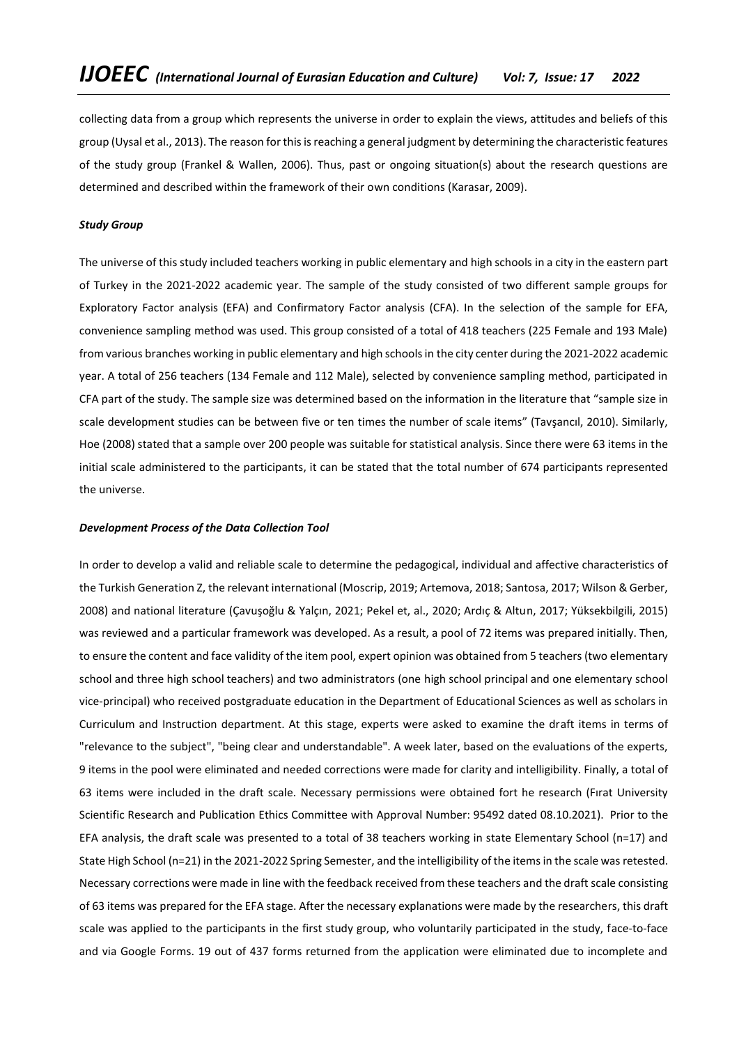collecting data from a group which represents the universe in order to explain the views, attitudes and beliefs of this group (Uysal et al., 2013). The reason for this is reaching a general judgment by determining the characteristic features of the study group (Frankel & Wallen, 2006). Thus, past or ongoing situation(s) about the research questions are determined and described within the framework of their own conditions (Karasar, 2009).

## *Study Group*

The universe of this study included teachers working in public elementary and high schools in a city in the eastern part of Turkey in the 2021-2022 academic year. The sample of the study consisted of two different sample groups for Exploratory Factor analysis (EFA) and Confirmatory Factor analysis (CFA). In the selection of the sample for EFA, convenience sampling method was used. This group consisted of a total of 418 teachers (225 Female and 193 Male) from various branches working in public elementary and high schools in the city center during the 2021-2022 academic year. A total of 256 teachers (134 Female and 112 Male), selected by convenience sampling method, participated in CFA part of the study. The sample size was determined based on the information in the literature that "sample size in scale development studies can be between five or ten times the number of scale items" (Tavşancıl, 2010). Similarly, Hoe (2008) stated that a sample over 200 people was suitable for statistical analysis. Since there were 63 items in the initial scale administered to the participants, it can be stated that the total number of 674 participants represented the universe.

## *Development Process of the Data Collection Tool*

In order to develop a valid and reliable scale to determine the pedagogical, individual and affective characteristics of the Turkish Generation Z, the relevant international (Moscrip, 2019; Artemova, 2018; Santosa, 2017; Wilson & Gerber, 2008) and national literature (Çavuşoğlu & Yalçın, 2021; Pekel et, al., 2020; Ardıç & Altun, 2017; Yüksekbilgili, 2015) was reviewed and a particular framework was developed. As a result, a pool of 72 items was prepared initially. Then, to ensure the content and face validity of the item pool, expert opinion was obtained from 5 teachers (two elementary school and three high school teachers) and two administrators (one high school principal and one elementary school vice-principal) who received postgraduate education in the Department of Educational Sciences as well as scholars in Curriculum and Instruction department. At this stage, experts were asked to examine the draft items in terms of "relevance to the subject", "being clear and understandable". A week later, based on the evaluations of the experts, 9 items in the pool were eliminated and needed corrections were made for clarity and intelligibility. Finally, a total of 63 items were included in the draft scale. Necessary permissions were obtained fort he research (Fırat University Scientific Research and Publication Ethics Committee with Approval Number: 95492 dated 08.10.2021). Prior to the EFA analysis, the draft scale was presented to a total of 38 teachers working in state Elementary School (n=17) and State High School (n=21) in the 2021-2022 Spring Semester, and the intelligibility of the items in the scale was retested. Necessary corrections were made in line with the feedback received from these teachers and the draft scale consisting of 63 items was prepared for the EFA stage. After the necessary explanations were made by the researchers, this draft scale was applied to the participants in the first study group, who voluntarily participated in the study, face-to-face and via Google Forms. 19 out of 437 forms returned from the application were eliminated due to incomplete and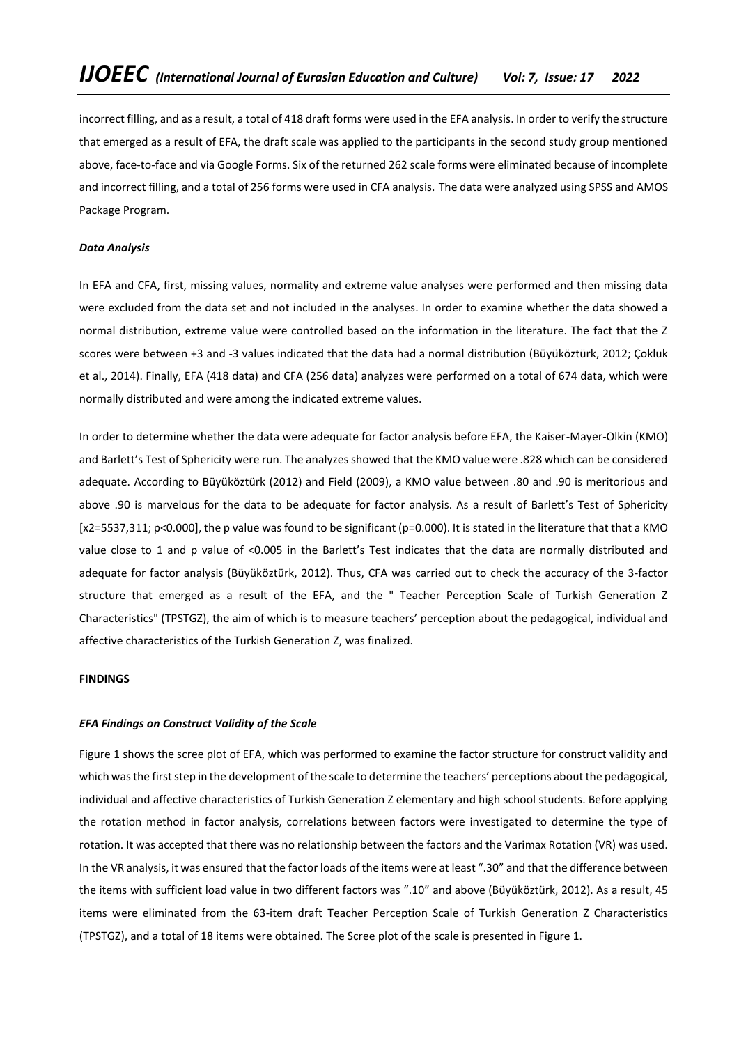incorrect filling, and as a result, a total of 418 draft forms were used in the EFA analysis. In order to verify the structure that emerged as a result of EFA, the draft scale was applied to the participants in the second study group mentioned above, face-to-face and via Google Forms. Six of the returned 262 scale forms were eliminated because of incomplete and incorrect filling, and a total of 256 forms were used in CFA analysis. The data were analyzed using SPSS and AMOS Package Program.

## *Data Analysis*

In EFA and CFA, first, missing values, normality and extreme value analyses were performed and then missing data were excluded from the data set and not included in the analyses. In order to examine whether the data showed a normal distribution, extreme value were controlled based on the information in the literature. The fact that the Z scores were between +3 and -3 values indicated that the data had a normal distribution (Büyüköztürk, 2012; Çokluk et al., 2014). Finally, EFA (418 data) and CFA (256 data) analyzes were performed on a total of 674 data, which were normally distributed and were among the indicated extreme values.

In order to determine whether the data were adequate for factor analysis before EFA, the Kaiser-Mayer-Olkin (KMO) and Barlett's Test of Sphericity were run. The analyzes showed that the KMO value were .828 which can be considered adequate. According to Büyüköztürk (2012) and Field (2009), a KMO value between .80 and .90 is meritorious and above .90 is marvelous for the data to be adequate for factor analysis. As a result of Barlett's Test of Sphericity  $[x2=5537,311; p<0.000]$ , the p value was found to be significant ( $p=0.000$ ). It is stated in the literature that that a KMO value close to 1 and p value of <0.005 in the Barlett's Test indicates that the data are normally distributed and adequate for factor analysis (Büyüköztürk, 2012). Thus, CFA was carried out to check the accuracy of the 3-factor structure that emerged as a result of the EFA, and the " Teacher Perception Scale of Turkish Generation Z Characteristics" (TPSTGZ), the aim of which is to measure teachers' perception about the pedagogical, individual and affective characteristics of the Turkish Generation Z, was finalized.

## **FINDINGS**

## *EFA Findings on Construct Validity of the Scale*

Figure 1 shows the scree plot of EFA, which was performed to examine the factor structure for construct validity and which was the first step in the development of the scale to determine the teachers' perceptions about the pedagogical, individual and affective characteristics of Turkish Generation Z elementary and high school students. Before applying the rotation method in factor analysis, correlations between factors were investigated to determine the type of rotation. It was accepted that there was no relationship between the factors and the Varimax Rotation (VR) was used. In the VR analysis, it was ensured that the factor loads of the items were at least ".30" and that the difference between the items with sufficient load value in two different factors was ".10" and above (Büyüköztürk, 2012). As a result, 45 items were eliminated from the 63-item draft Teacher Perception Scale of Turkish Generation Z Characteristics (TPSTGZ), and a total of 18 items were obtained. The Scree plot of the scale is presented in Figure 1.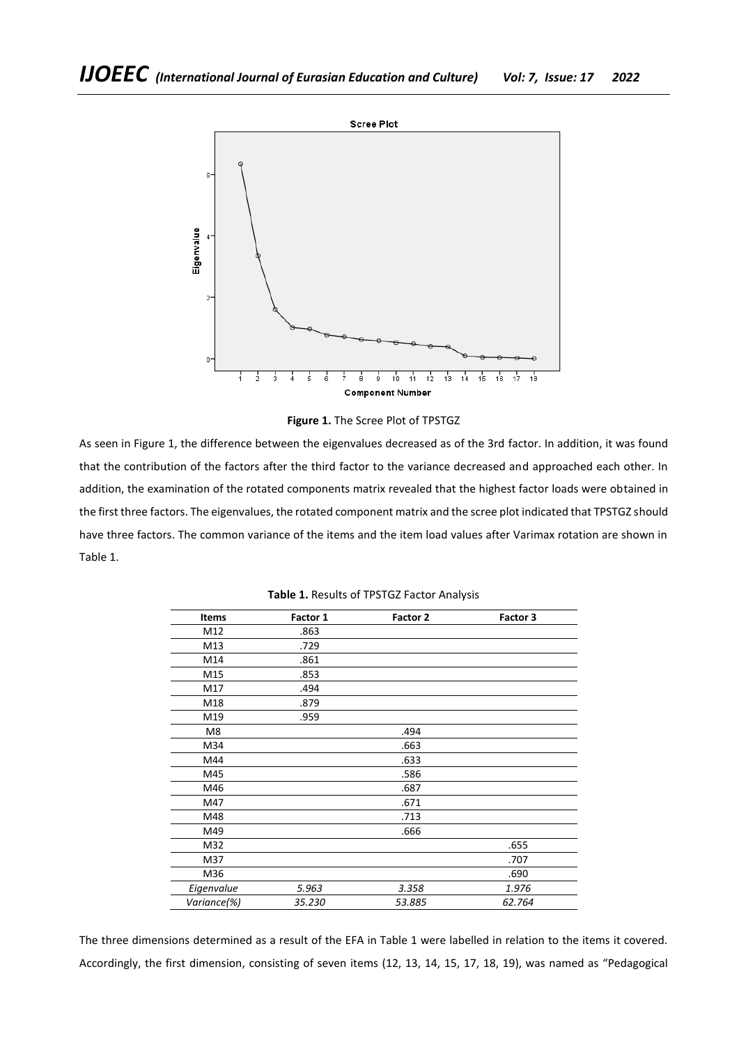

**Figure 1.** The Scree Plot of TPSTGZ

As seen in Figure 1, the difference between the eigenvalues decreased as of the 3rd factor. In addition, it was found that the contribution of the factors after the third factor to the variance decreased and approached each other. In addition, the examination of the rotated components matrix revealed that the highest factor loads were obtained in the first three factors. The eigenvalues, the rotated component matrix and the scree plot indicated that TPSTGZ should have three factors. The common variance of the items and the item load values after Varimax rotation are shown in Table 1.

| <b>Items</b> | Factor 1 | Factor 2 | Factor 3 |
|--------------|----------|----------|----------|
| M12          | .863     |          |          |
| M13          | .729     |          |          |
| M14          | .861     |          |          |
| M15          | .853     |          |          |
| M17          | .494     |          |          |
| M18          | .879     |          |          |
| M19          | .959     |          |          |
| M8           |          | .494     |          |
| M34          |          | .663     |          |
| M44          |          | .633     |          |
| M45          |          | .586     |          |
| M46          |          | .687     |          |
| M47          |          | .671     |          |
| M48          |          | .713     |          |
| M49          |          | .666     |          |
| M32          |          |          | .655     |
| M37          |          |          | .707     |
| M36          |          |          | .690     |
| Eigenvalue   | 5.963    | 3.358    | 1.976    |
| Variance(%)  | 35.230   | 53.885   | 62.764   |
|              |          |          |          |

**Table 1.** Results of TPSTGZ Factor Analysis

The three dimensions determined as a result of the EFA in Table 1 were labelled in relation to the items it covered. Accordingly, the first dimension, consisting of seven items (12, 13, 14, 15, 17, 18, 19), was named as "Pedagogical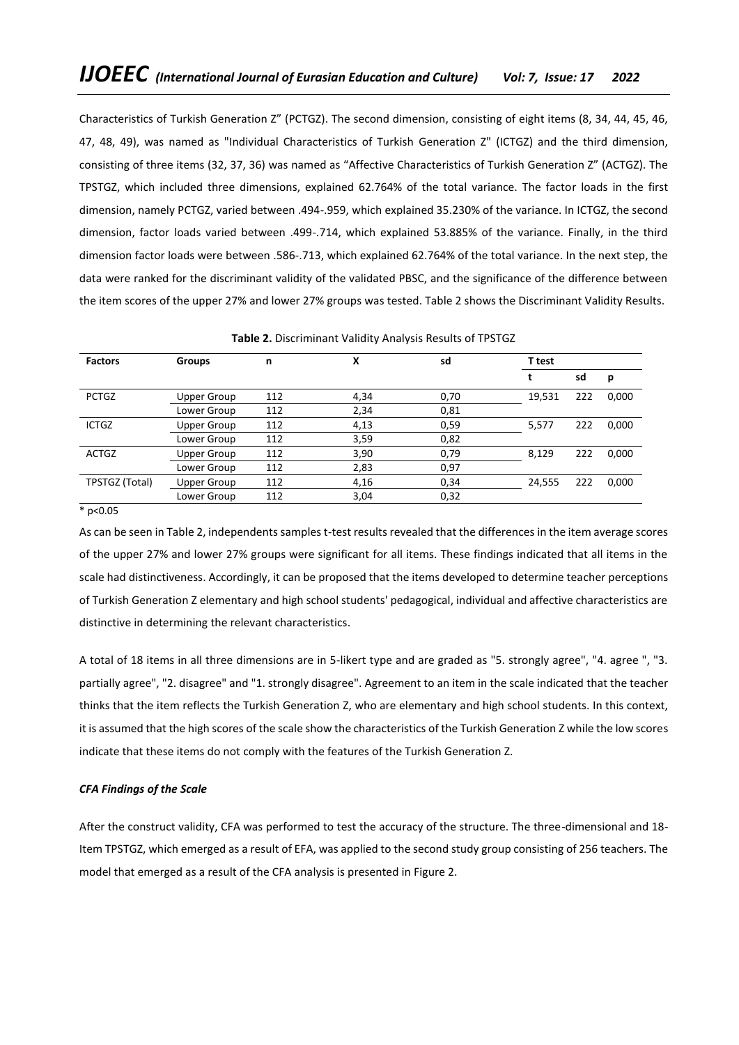Characteristics of Turkish Generation Z" (PCTGZ). The second dimension, consisting of eight items (8, 34, 44, 45, 46, 47, 48, 49), was named as "Individual Characteristics of Turkish Generation Z" (ICTGZ) and the third dimension, consisting of three items (32, 37, 36) was named as "Affective Characteristics of Turkish Generation Z" (ACTGZ). The TPSTGZ, which included three dimensions, explained 62.764% of the total variance. The factor loads in the first dimension, namely PCTGZ, varied between .494-.959, which explained 35.230% of the variance. In ICTGZ, the second dimension, factor loads varied between .499-.714, which explained 53.885% of the variance. Finally, in the third dimension factor loads were between .586-.713, which explained 62.764% of the total variance. In the next step, the data were ranked for the discriminant validity of the validated PBSC, and the significance of the difference between the item scores of the upper 27% and lower 27% groups was tested. Table 2 shows the Discriminant Validity Results.

| <b>Factors</b> | <b>Groups</b>      | n   | Χ    | sd   | T test |     |       |
|----------------|--------------------|-----|------|------|--------|-----|-------|
|                |                    |     |      |      |        | sd  | p     |
| <b>PCTGZ</b>   | <b>Upper Group</b> | 112 | 4,34 | 0,70 | 19,531 | 222 | 0,000 |
|                | Lower Group        | 112 | 2,34 | 0,81 |        |     |       |
| <b>ICTGZ</b>   | <b>Upper Group</b> | 112 | 4,13 | 0,59 | 5,577  | 222 | 0,000 |
|                | Lower Group        | 112 | 3,59 | 0,82 |        |     |       |
| <b>ACTGZ</b>   | Upper Group        | 112 | 3,90 | 0,79 | 8,129  | 222 | 0,000 |
|                | Lower Group        | 112 | 2,83 | 0,97 |        |     |       |
| TPSTGZ (Total) | Upper Group        | 112 | 4,16 | 0,34 | 24,555 | 222 | 0,000 |
|                | Lower Group        | 112 | 3,04 | 0,32 |        |     |       |

**Table 2.** Discriminant Validity Analysis Results of TPSTGZ

 $*$  p<0.05

As can be seen in Table 2, independents samples t-test results revealed that the differences in the item average scores of the upper 27% and lower 27% groups were significant for all items. These findings indicated that all items in the scale had distinctiveness. Accordingly, it can be proposed that the items developed to determine teacher perceptions of Turkish Generation Z elementary and high school students' pedagogical, individual and affective characteristics are distinctive in determining the relevant characteristics.

A total of 18 items in all three dimensions are in 5-likert type and are graded as "5. strongly agree", "4. agree ", "3. partially agree", "2. disagree" and "1. strongly disagree". Agreement to an item in the scale indicated that the teacher thinks that the item reflects the Turkish Generation Z, who are elementary and high school students. In this context, it is assumed that the high scores of the scale show the characteristics of the Turkish Generation Z while the low scores indicate that these items do not comply with the features of the Turkish Generation Z.

# *CFA Findings of the Scale*

After the construct validity, CFA was performed to test the accuracy of the structure. The three-dimensional and 18- Item TPSTGZ, which emerged as a result of EFA, was applied to the second study group consisting of 256 teachers. The model that emerged as a result of the CFA analysis is presented in Figure 2.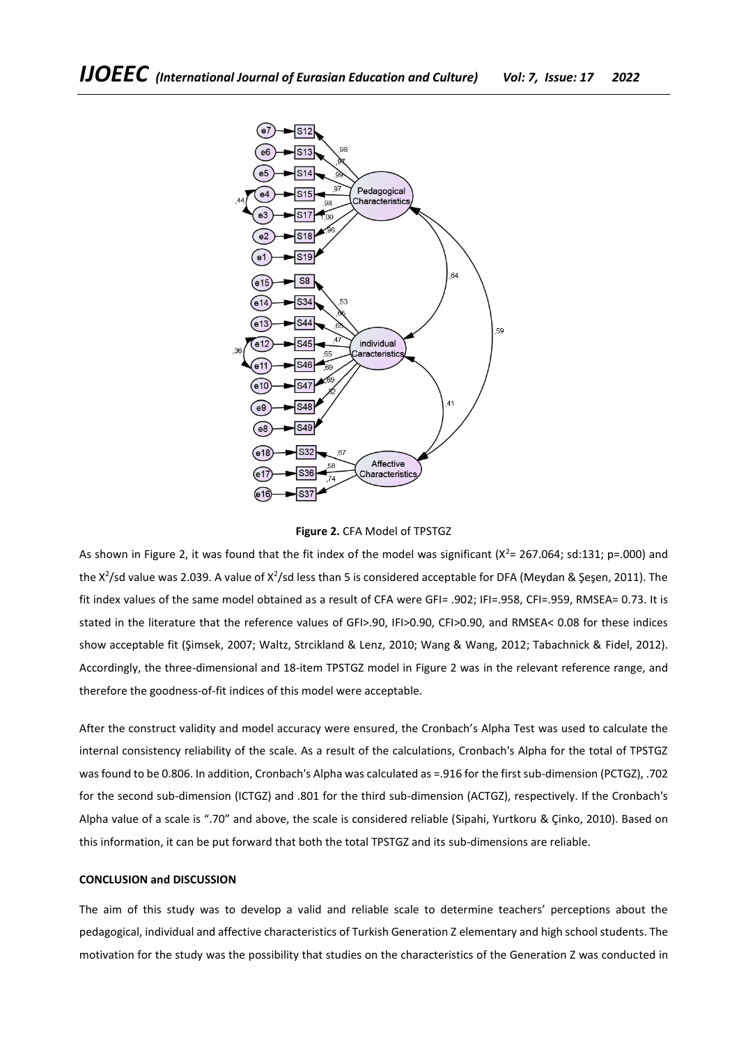

**Figure 2.** CFA Model of TPSTGZ

As shown in Figure 2, it was found that the fit index of the model was significant  $(X^2= 267.064; sd:131; p=.000)$  and the X<sup>2</sup>/sd value was 2.039. A value of X<sup>2</sup>/sd less than 5 is considered acceptable for DFA (Meydan & Şeşen, 2011). The fit index values of the same model obtained as a result of CFA were GFI= .902; IFI=.958, CFI=.959, RMSEA= 0.73. It is stated in the literature that the reference values of GFI>.90, IFI>0.90, CFI>0.90, and RMSEA< 0.08 for these indices show acceptable fit (Şimsek, 2007; Waltz, Strcikland & Lenz, 2010; Wang & Wang, 2012; Tabachnick & Fidel, 2012). Accordingly, the three-dimensional and 18-item TPSTGZ model in Figure 2 was in the relevant reference range, and therefore the goodness-of-fit indices of this model were acceptable.

After the construct validity and model accuracy were ensured, the Cronbach's Alpha Test was used to calculate the internal consistency reliability of the scale. As a result of the calculations, Cronbach's Alpha for the total of TPSTGZ was found to be 0.806. In addition, Cronbach's Alpha was calculated as =.916 for the first sub-dimension (PCTGZ), .702 for the second sub-dimension (ICTGZ) and .801 for the third sub-dimension (ACTGZ), respectively. If the Cronbach's Alpha value of a scale is ".70" and above, the scale is considered reliable (Sipahi, Yurtkoru & Çinko, 2010). Based on this information, it can be put forward that both the total TPSTGZ and its sub-dimensions are reliable.

## **CONCLUSION and DISCUSSION**

The aim of this study was to develop a valid and reliable scale to determine teachers' perceptions about the pedagogical, individual and affective characteristics of Turkish Generation Z elementary and high school students. The motivation for the study was the possibility that studies on the characteristics of the Generation Z was conducted in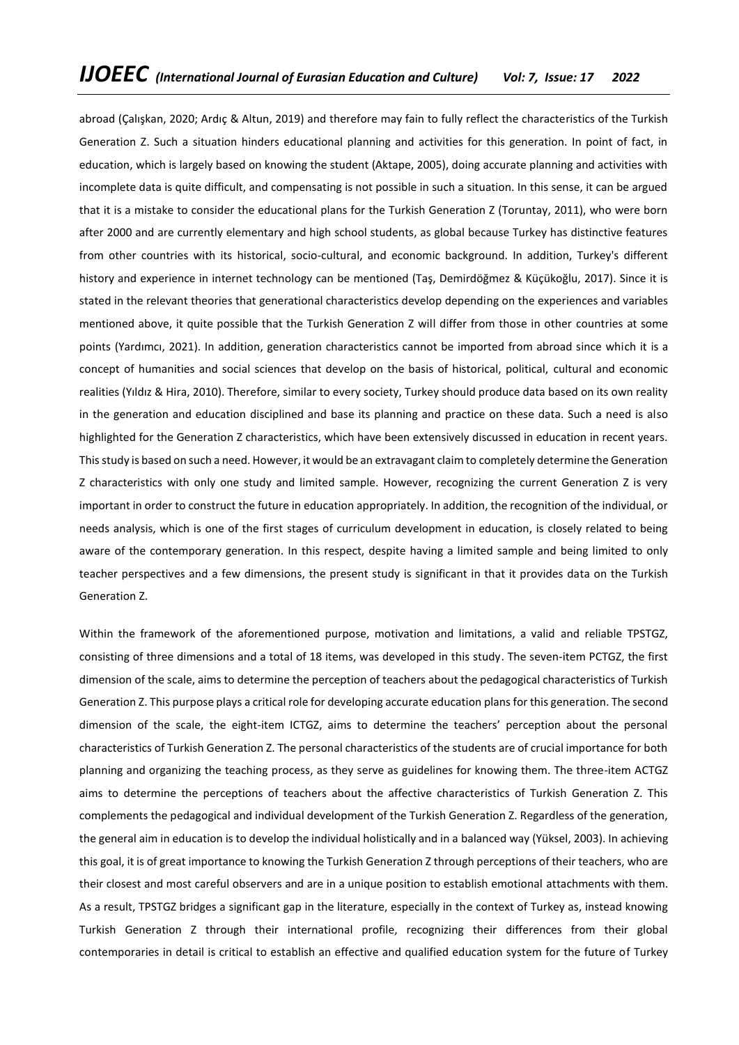abroad (Çalışkan, 2020; Ardıç & Altun, 2019) and therefore may fain to fully reflect the characteristics of the Turkish Generation Z. Such a situation hinders educational planning and activities for this generation. In point of fact, in education, which is largely based on knowing the student (Aktape, 2005), doing accurate planning and activities with incomplete data is quite difficult, and compensating is not possible in such a situation. In this sense, it can be argued that it is a mistake to consider the educational plans for the Turkish Generation Z (Toruntay, 2011), who were born after 2000 and are currently elementary and high school students, as global because Turkey has distinctive features from other countries with its historical, socio-cultural, and economic background. In addition, Turkey's different history and experience in internet technology can be mentioned (Taş, Demirdöğmez & Küçükoğlu, 2017). Since it is stated in the relevant theories that generational characteristics develop depending on the experiences and variables mentioned above, it quite possible that the Turkish Generation Z will differ from those in other countries at some points (Yardımcı, 2021). In addition, generation characteristics cannot be imported from abroad since which it is a concept of humanities and social sciences that develop on the basis of historical, political, cultural and economic realities (Yıldız & Hira, 2010). Therefore, similar to every society, Turkey should produce data based on its own reality in the generation and education disciplined and base its planning and practice on these data. Such a need is also highlighted for the Generation Z characteristics, which have been extensively discussed in education in recent years. This study is based on such a need. However, it would be an extravagant claim to completely determine the Generation Z characteristics with only one study and limited sample. However, recognizing the current Generation Z is very important in order to construct the future in education appropriately. In addition, the recognition of the individual, or needs analysis, which is one of the first stages of curriculum development in education, is closely related to being aware of the contemporary generation. In this respect, despite having a limited sample and being limited to only teacher perspectives and a few dimensions, the present study is significant in that it provides data on the Turkish Generation Z.

Within the framework of the aforementioned purpose, motivation and limitations, a valid and reliable TPSTGZ, consisting of three dimensions and a total of 18 items, was developed in this study. The seven-item PCTGZ, the first dimension of the scale, aims to determine the perception of teachers about the pedagogical characteristics of Turkish Generation Z. This purpose plays a critical role for developing accurate education plans for this generation. The second dimension of the scale, the eight-item ICTGZ, aims to determine the teachers' perception about the personal characteristics of Turkish Generation Z. The personal characteristics of the students are of crucial importance for both planning and organizing the teaching process, as they serve as guidelines for knowing them. The three-item ACTGZ aims to determine the perceptions of teachers about the affective characteristics of Turkish Generation Z. This complements the pedagogical and individual development of the Turkish Generation Z. Regardless of the generation, the general aim in education is to develop the individual holistically and in a balanced way (Yüksel, 2003). In achieving this goal, it is of great importance to knowing the Turkish Generation Z through perceptions of their teachers, who are their closest and most careful observers and are in a unique position to establish emotional attachments with them. As a result, TPSTGZ bridges a significant gap in the literature, especially in the context of Turkey as, instead knowing Turkish Generation Z through their international profile, recognizing their differences from their global contemporaries in detail is critical to establish an effective and qualified education system for the future of Turkey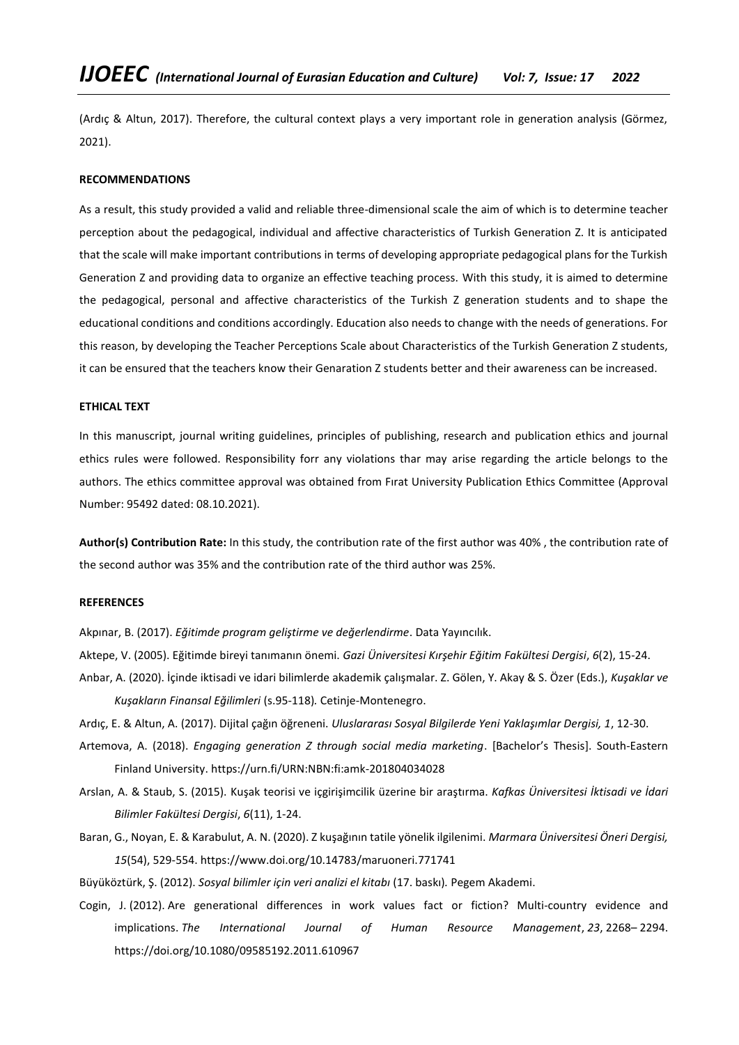(Ardıç & Altun, 2017). Therefore, the cultural context plays a very important role in generation analysis (Görmez, 2021).

## **RECOMMENDATIONS**

As a result, this study provided a valid and reliable three-dimensional scale the aim of which is to determine teacher perception about the pedagogical, individual and affective characteristics of Turkish Generation Z. It is anticipated that the scale will make important contributions in terms of developing appropriate pedagogical plans for the Turkish Generation Z and providing data to organize an effective teaching process. With this study, it is aimed to determine the pedagogical, personal and affective characteristics of the Turkish Z generation students and to shape the educational conditions and conditions accordingly. Education also needs to change with the needs of generations. For this reason, by developing the Teacher Perceptions Scale about Characteristics of the Turkish Generation Z students, it can be ensured that the teachers know their Genaration Z students better and their awareness can be increased.

## **ETHICAL TEXT**

In this manuscript, journal writing guidelines, principles of publishing, research and publication ethics and journal ethics rules were followed. Responsibility forr any violations thar may arise regarding the article belongs to the authors. The ethics committee approval was obtained from Fırat University Publication Ethics Committee (Approval Number: 95492 dated: 08.10.2021).

**Author(s) Contribution Rate:** In this study, the contribution rate of the first author was 40% , the contribution rate of the second author was 35% and the contribution rate of the third author was 25%.

# **REFERENCES**

Akpınar, B. (2017). *Eğitimde program geliştirme ve değerlendirme*. Data Yayıncılık.

Aktepe, V. (2005). Eğitimde bireyi tanımanın önemi. *Gazi Üniversitesi Kırşehir Eğitim Fakültesi Dergisi*, *6*(2), 15-24.

Anbar, A. (2020). İçinde iktisadi ve idari bilimlerde akademik çalışmalar. Z. Gölen, Y. Akay & S. Özer (Eds.), *Kuşaklar ve Kuşakların Finansal Eğilimleri* (s.95-118)*.* Cetinje-Montenegro.

Ardıç, E. & Altun, A. (2017). Dijital çağın öğreneni. *Uluslararası Sosyal Bilgilerde Yeni Yaklaşımlar Dergisi, 1*, 12-30.

- Artemova, A. (2018). *Engaging generation Z through social media marketing*. [Bachelor's Thesis]. South-Eastern Finland University.<https://urn.fi/URN:NBN:fi:amk-201804034028>
- Arslan, A. & Staub, S. (2015). Kuşak teorisi ve içgirişimcilik üzerine bir araştırma. *Kafkas Üniversitesi İktisadi ve İdari Bilimler Fakültesi Dergisi*, *6*(11), 1-24.
- Baran, G., Noyan, E. & Karabulut, A. N. (2020). Z kuşağının tatile yönelik ilgilenimi. *Marmara Üniversitesi Öneri Dergisi, 15*(54), 529-554[. https://www.doi.org/10.14783/maruoneri.771741](https://www.doi.org/10.14783/maruoneri.771741)

Büyüköztürk, Ş. (2012). *Sosyal bilimler için veri analizi el kitabı* (17. baskı)*.* Pegem Akademi.

Cogin, J. (2012). Are generational differences in work values fact or fiction? Multi-country evidence and implications. *The International Journal of Human Resource Management*, *23*, 2268– 2294. <https://doi.org/10.1080/09585192.2011.610967>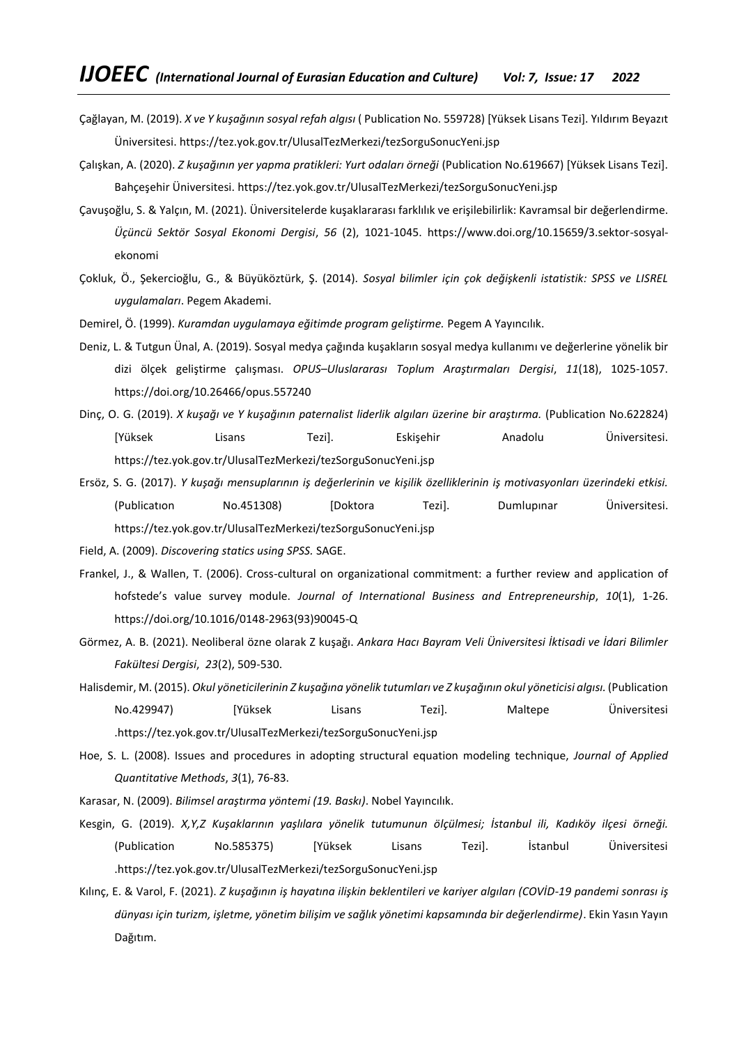- Çağlayan, M. (2019). *X ve Y kuşağının sosyal refah algısı* ( Publication No. 559728) [Yüksek Lisans Tezi]. Yıldırım Beyazıt Üniversitesi. <https://tez.yok.gov.tr/UlusalTezMerkezi/tezSorguSonucYeni.jsp>
- Çalışkan, A. (2020). *Z kuşağının yer yapma pratikleri: Yurt odaları örneği* (Publication No.619667) [Yüksek Lisans Tezi]. Bahçeşehir Üniversitesi. <https://tez.yok.gov.tr/UlusalTezMerkezi/tezSorguSonucYeni.jsp>
- Çavuşoğlu, S. & Yalçın, M. (2021). Üniversitelerde kuşaklararası farklılık ve erişilebilirlik: Kavramsal bir değerlendirme. *Üçüncü Sektör Sosyal Ekonomi Dergisi*, *56* (2), 1021-1045. [https://www.doi.org/10.15659/3.sektor-sosyal](https://www.doi.org/10.15659/3.sektor-sosyal-ekonomi)[ekonomi](https://www.doi.org/10.15659/3.sektor-sosyal-ekonomi)
- Çokluk, Ö., Şekercioğlu, G., & Büyüköztürk, Ş. (2014). *Sosyal bilimler için çok değişkenli istatistik: SPSS ve LISREL uygulamaları*. Pegem Akademi.
- Demirel, Ö. (1999). *Kuramdan uygulamaya eğitimde program geliştirme.* Pegem A Yayıncılık.
- Deniz, L. & Tutgun Ünal, A. (2019). Sosyal medya çağında kuşakların sosyal medya kullanımı ve değerlerine yönelik bir dizi ölçek geliştirme çalışması. *OPUS–Uluslararası Toplum Araştırmaları Dergisi*, *11*(18), 1025-1057. <https://doi.org/10.26466/opus.557240>
- Dinç, O. G. (2019). *X kuşağı ve Y kuşağının paternalist liderlik algıları üzerine bir araştırma.* (Publication No.622824) [Yüksek Lisans Tezi]. Eskişehir Anadolu Üniversitesi. <https://tez.yok.gov.tr/UlusalTezMerkezi/tezSorguSonucYeni.jsp>
- Ersöz, S. G. (2017). *Y kuşağı mensuplarının iş değerlerinin ve kişilik özelliklerinin iş motivasyonları üzerindeki etkisi.* (Publicatıon No.451308) [Doktora Tezi]. Dumlupınar Üniversitesi. <https://tez.yok.gov.tr/UlusalTezMerkezi/tezSorguSonucYeni.jsp>
- Field, A. (2009). *Discovering statics using SPSS.* SAGE.
- Frankel, J., & Wallen, T. (2006). Cross-cultural on organizational commitment: a further review and application of hofstede's value survey module. *Journal of International Business and Entrepreneurship*, *10*(1), 1-26. [https://doi.org/10.1016/0148-2963\(93\)90045-Q](https://doi.org/10.1016/0148-2963(93)90045-Q)
- Görmez, A. B. (2021). Neoliberal özne olarak Z kuşağı. *Ankara Hacı Bayram Veli Üniversitesi İktisadi ve İdari Bilimler Fakültesi Dergisi*, *23*(2), 509-530.
- Halisdemir, M. (2015). *Okul yöneticilerinin Z kuşağına yönelik tutumları ve Z kuşağının okul yöneticisi algısı.* (Publication No.429947) [Yüksek Lisans Tezi]. Maltepe Üniversitesi [.https://tez.yok.gov.tr/UlusalTezMerkezi/tezSorguSonucYeni.jsp](https://tez.yok.gov.tr/UlusalTezMerkezi/tezSorguSonucYeni.jsp)
- Hoe, S. L. (2008). Issues and procedures in adopting structural equation modeling technique, *Journal of Applied Quantitative Methods*, *3*(1), 76-83.
- Karasar, N. (2009). *Bilimsel araştırma yöntemi (19. Baskı)*. Nobel Yayıncılık.
- Kesgin, G. (2019). *X,Y,Z Kuşaklarının yaşlılara yönelik tutumunun ölçülmesi; İstanbul ili, Kadıköy ilçesi örneği.* (Publication No.585375) [Yüksek Lisans Tezi]. İstanbul Üniversitesi [.https://tez.yok.gov.tr/UlusalTezMerkezi/tezSorguSonucYeni.jsp](https://tez.yok.gov.tr/UlusalTezMerkezi/tezSorguSonucYeni.jsp)
- Kılınç, E. & Varol, F. (2021). *Z kuşağının iş hayatına ilişkin beklentileri ve kariyer algıları (COVİD-19 pandemi sonrası iş dünyası için turizm, işletme, yönetim bilişim ve sağlık yönetimi kapsamında bir değerlendirme)*. Ekin Yasın Yayın Dağıtım.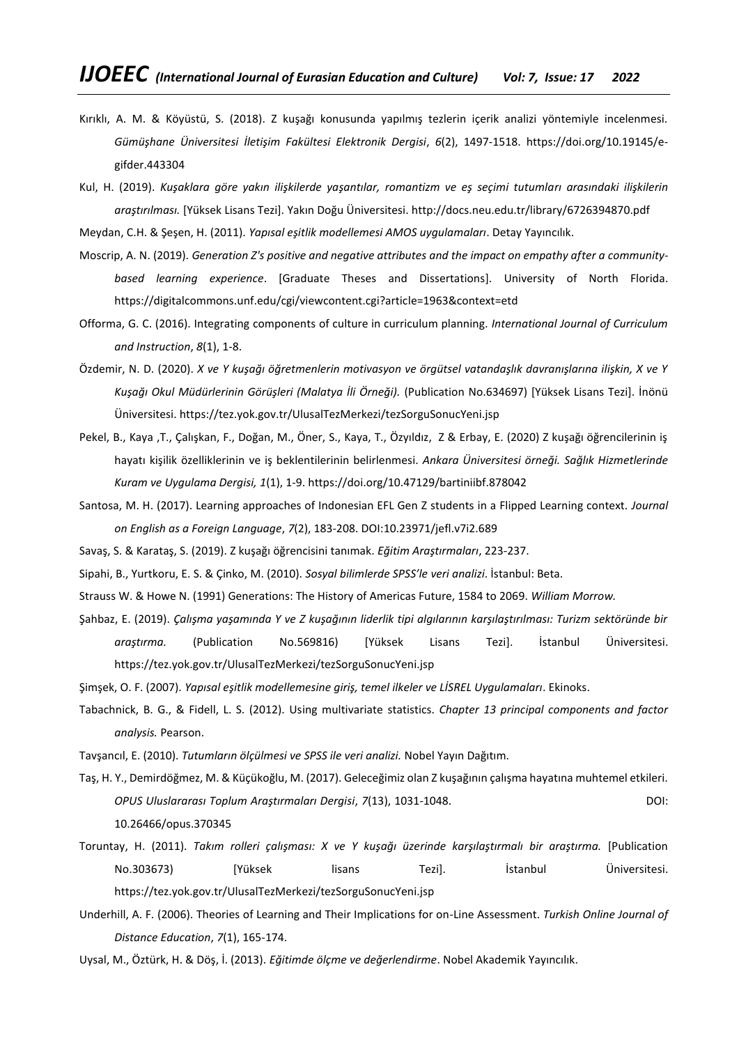- Kırıklı, A. M. & Köyüstü, S. (2018). Z kuşağı konusunda yapılmış tezlerin içerik analizi yöntemiyle incelenmesi. *Gümüşhane Üniversitesi İletişim Fakültesi Elektronik Dergisi*, *6*(2), 1497-1518. [https://doi.org/10.19145/e](https://doi.org/10.19145/e-gifder.443304)[gifder.443304](https://doi.org/10.19145/e-gifder.443304)
- Kul, H. (2019). *Kuşaklara göre yakın ilişkilerde yaşantılar, romantizm ve eş seçimi tutumları arasındaki ilişkilerin araştırılması.* [Yüksek Lisans Tezi]. Yakın Doğu Üniversitesi. <http://docs.neu.edu.tr/library/6726394870.pdf>

Meydan, C.H. & Şeşen, H. (2011). *Yapısal eşitlik modellemesi AMOS uygulamaları*. Detay Yayıncılık.

- Moscrip, A. N. (2019). *Generation Z's positive and negative attributes and the impact on empathy after a communitybased learning experience*. [Graduate Theses and Dissertations]. University of North Florida. <https://digitalcommons.unf.edu/cgi/viewcontent.cgi?article=1963&context=etd>
- Offorma, G. C. (2016). Integrating components of culture in curriculum planning*. International Journal of Curriculum and Instruction*, *8*(1), 1-8.
- Özdemir, N. D. (2020). *X ve Y kuşağı öğretmenlerin motivasyon ve örgütsel vatandaşlık davranışlarına ilişkin, X ve Y Kuşağı Okul Müdürlerinin Görüşleri (Malatya İli Örneği).* (Publication No.634697) [Yüksek Lisans Tezi]. İnönü Üniversitesi. <https://tez.yok.gov.tr/UlusalTezMerkezi/tezSorguSonucYeni.jsp>
- Pekel, B., Kaya ,T., Çalışkan, F., Doğan, M., Öner, S., Kaya, T., Özyıldız, Z & Erbay, E. (2020) Z kuşağı öğrencilerinin iş hayatı kişilik özelliklerinin ve iş beklentilerinin belirlenmesi. *Ankara Üniversitesi örneği. Sağlık Hizmetlerinde Kuram ve Uygulama Dergisi, 1*(1), 1-9[. https://doi.org/10.47129/bartiniibf.878042](https://doi.org/10.47129/bartiniibf.878042)
- Santosa, M. H. (2017). Learning approaches of Indonesian EFL Gen Z students in a Flipped Learning context. *Journal on English as a Foreign Language*, *7*(2), 183-208. DOI[:10.23971/jefl.v7i2.689](http://dx.doi.org/10.23971/jefl.v7i2.689)

Savaş, S. & Karataş, S. (2019). Z kuşağı öğrencisini tanımak. *Eğitim Araştırmaları*, 223-237.

Sipahi, B., Yurtkoru, E. S. & Çinko, M. (2010). *Sosyal bilimlerde SPSS'le veri analizi*. İstanbul: Beta.

- Strauss W. & Howe N. (1991) Generations: The History of Americas Future, 1584 to 2069. *William Morrow.*
- Şahbaz, E. (2019). *Çalışma yaşamında Y ve Z kuşağının liderlik tipi algılarının karşılaştırılması: Turizm sektöründe bir araştırma.* (Publication No.569816) [Yüksek Lisans Tezi]. İstanbul Üniversitesi. <https://tez.yok.gov.tr/UlusalTezMerkezi/tezSorguSonucYeni.jsp>
- Şimşek, O. F. (2007). *Yapısal eşitlik modellemesine giriş, temel ilkeler ve LİSREL Uygulamaları*. Ekinoks.
- Tabachnick, B. G., & Fidell, L. S. (2012). Using multivariate statistics*. Chapter 13 principal components and factor analysis.* Pearson.
- Tavşancıl, E. (2010). *Tutumların ölçülmesi ve SPSS ile veri analizi.* Nobel Yayın Dağıtım.
- Taş, H. Y., Demirdöğmez, M. & Küçükoğlu, M. (2017). Geleceğimiz olan Z kuşağının çalışma hayatına muhtemel etkileri. *OPUS Uluslararası Toplum Araştırmaları Dergisi*, *7*(13), 1031-1048. DOI: 10.26466/opus.370345
- Toruntay, H. (2011). *Takım rolleri çalışması: X ve Y kuşağı üzerinde karşılaştırmalı bir araştırma.* [Publication No.303673) [Yüksek lisans Tezi]. İstanbul Üniversitesi. <https://tez.yok.gov.tr/UlusalTezMerkezi/tezSorguSonucYeni.jsp>
- Underhill, A. F. (2006). Theories of Learning and Their Implications for on-Line Assessment. *Turkish Online Journal of Distance Education*, *7*(1), 165-174.
- Uysal, M., Öztürk, H. & Döş, İ. (2013). *Eğitimde ölçme ve değerlendirme*. Nobel Akademik Yayıncılık.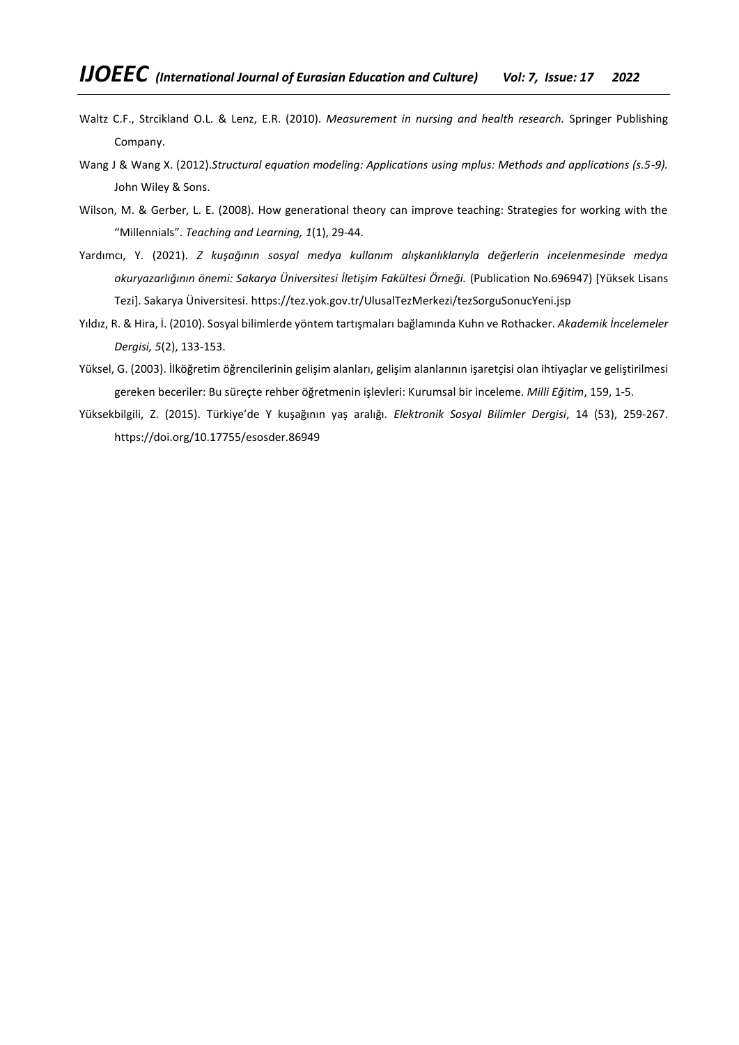- Waltz C.F., Strcikland O.L. & Lenz, E.R. (2010). *Measurement in nursing and health research.* Springer Publishing Company.
- Wang J & Wang X. (2012).*Structural equation modeling: Applications using mplus: Methods and applications (s.5-9).* John Wiley & Sons.
- Wilson, M. & Gerber, L. E. (2008). How generational theory can improve teaching: Strategies for working with the "Millennials". *Teaching and Learning, 1*(1), 29-44.
- Yardımcı, Y. (2021). *Z kuşağının sosyal medya kullanım alışkanlıklarıyla değerlerin incelenmesinde medya okuryazarlığının önemi: Sakarya Üniversitesi İletişim Fakültesi Örneği.* (Publication No.696947) [Yüksek Lisans Tezi]. Sakarya Üniversitesi. <https://tez.yok.gov.tr/UlusalTezMerkezi/tezSorguSonucYeni.jsp>
- Yıldız, R. & Hira, İ. (2010). Sosyal bilimlerde yöntem tartışmaları bağlamında Kuhn ve Rothacker. *Akademik İncelemeler Dergisi, 5*(2), 133-153.
- Yüksel, G. (2003). İlköğretim öğrencilerinin gelişim alanları, gelişim alanlarının işaretçisi olan ihtiyaçlar ve geliştirilmesi gereken beceriler: Bu süreçte rehber öğretmenin işlevleri: Kurumsal bir inceleme. *Milli Eğitim*, 159, 1-5.
- Yüksekbilgili, Z. (2015). Türkiye'de Y kuşağının yaş aralığı. *Elektronik Sosyal Bilimler Dergisi*, 14 (53), 259-267. <https://doi.org/10.17755/esosder.86949>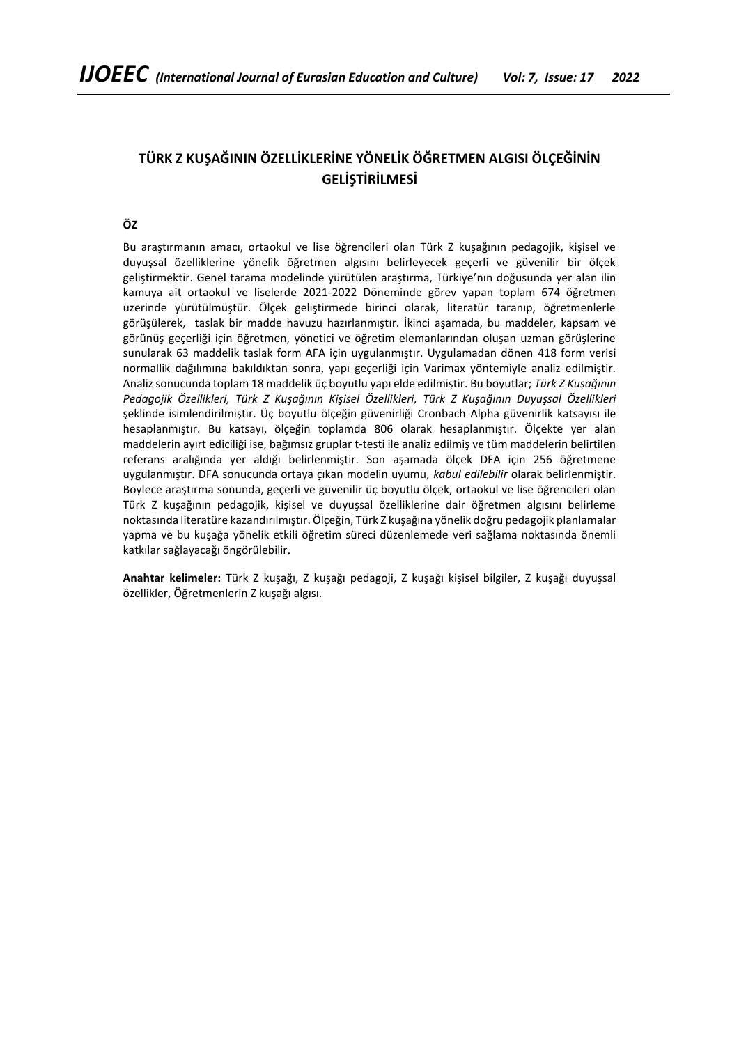# **TÜRK Z KUŞAĞININ ÖZELLİKLERİNE YÖNELİK ÖĞRETMEN ALGISI ÖLÇEĞİNİN GELİŞTİRİLMESİ**

**ÖZ**

Bu araştırmanın amacı, ortaokul ve lise öğrencileri olan Türk Z kuşağının pedagojik, kişisel ve duyuşsal özelliklerine yönelik öğretmen algısını belirleyecek geçerli ve güvenilir bir ölçek geliştirmektir. Genel tarama modelinde yürütülen araştırma, Türkiye'nın doğusunda yer alan ilin kamuya ait ortaokul ve liselerde 2021-2022 Döneminde görev yapan toplam 674 öğretmen üzerinde yürütülmüştür. Ölçek geliştirmede birinci olarak, literatür taranıp, öğretmenlerle görüşülerek, taslak bir madde havuzu hazırlanmıştır. İkinci aşamada, bu maddeler, kapsam ve görünüş geçerliği için öğretmen, yönetici ve öğretim elemanlarından oluşan uzman görüşlerine sunularak 63 maddelik taslak form AFA için uygulanmıştır. Uygulamadan dönen 418 form verisi normallik dağılımına bakıldıktan sonra, yapı geçerliği için Varimax yöntemiyle analiz edilmiştir. Analiz sonucunda toplam 18 maddelik üç boyutlu yapı elde edilmiştir. Bu boyutlar; *Türk Z Kuşağının Pedagojik Özellikleri, Türk Z Kuşağının Kişisel Özellikleri, Türk Z Kuşağının Duyuşsal Özellikleri* şeklinde isimlendirilmiştir. Üç boyutlu ölçeğin güvenirliği Cronbach Alpha güvenirlik katsayısı ile hesaplanmıştır. Bu katsayı, ölçeğin toplamda 806 olarak hesaplanmıştır. Ölçekte yer alan maddelerin ayırt ediciliği ise, bağımsız gruplar t-testi ile analiz edilmiş ve tüm maddelerin belirtilen referans aralığında yer aldığı belirlenmiştir. Son aşamada ölçek DFA için 256 öğretmene uygulanmıştır. DFA sonucunda ortaya çıkan modelin uyumu, *kabul edilebilir* olarak belirlenmiştir. Böylece araştırma sonunda, geçerli ve güvenilir üç boyutlu ölçek, ortaokul ve lise öğrencileri olan Türk Z kuşağının pedagojik, kişisel ve duyuşsal özelliklerine dair öğretmen algısını belirleme noktasında literatüre kazandırılmıştır. Ölçeğin, Türk Z kuşağına yönelik doğru pedagojik planlamalar yapma ve bu kuşağa yönelik etkili öğretim süreci düzenlemede veri sağlama noktasında önemli katkılar sağlayacağı öngörülebilir.

**Anahtar kelimeler:** Türk Z kuşağı, Z kuşağı pedagoji, Z kuşağı kişisel bilgiler, Z kuşağı duyuşsal özellikler, Öğretmenlerin Z kuşağı algısı.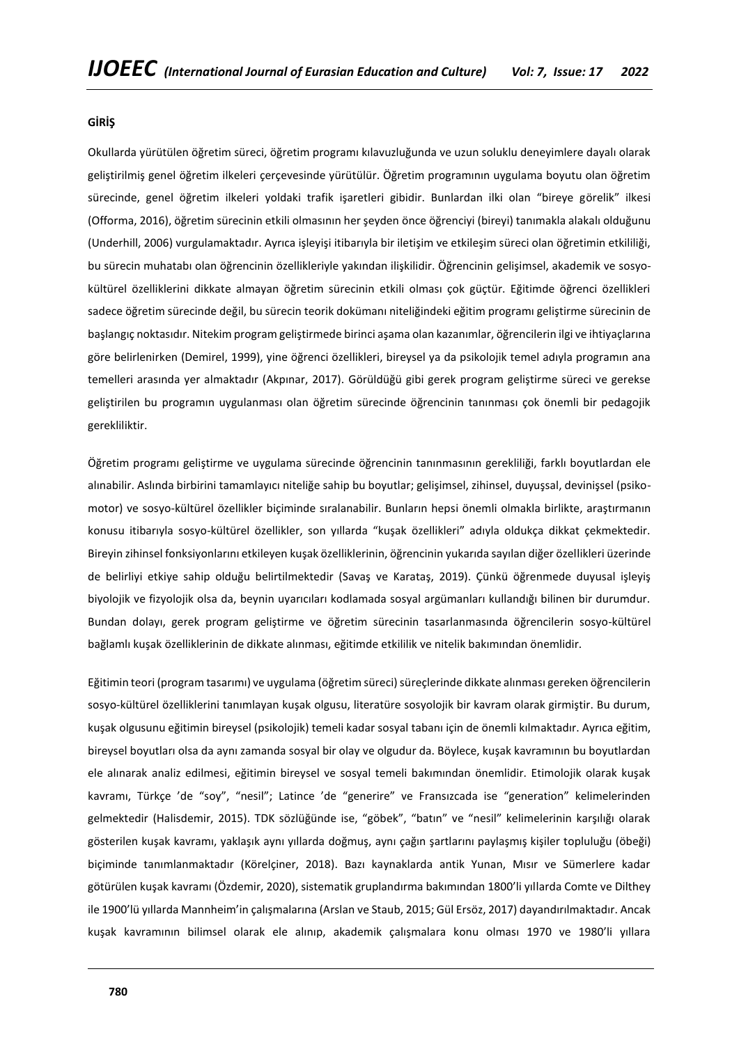## **GİRİŞ**

Okullarda yürütülen öğretim süreci, öğretim programı kılavuzluğunda ve uzun soluklu deneyimlere dayalı olarak geliştirilmiş genel öğretim ilkeleri çerçevesinde yürütülür. Öğretim programının uygulama boyutu olan öğretim sürecinde, genel öğretim ilkeleri yoldaki trafik işaretleri gibidir. Bunlardan ilki olan "bireye görelik" ilkesi (Offorma, 2016), öğretim sürecinin etkili olmasının her şeyden önce öğrenciyi (bireyi) tanımakla alakalı olduğunu (Underhill, 2006) vurgulamaktadır. Ayrıca işleyişi itibarıyla bir iletişim ve etkileşim süreci olan öğretimin etkililiği, bu sürecin muhatabı olan öğrencinin özellikleriyle yakından ilişkilidir. Öğrencinin gelişimsel, akademik ve sosyokültürel özelliklerini dikkate almayan öğretim sürecinin etkili olması çok güçtür. Eğitimde öğrenci özellikleri sadece öğretim sürecinde değil, bu sürecin teorik dokümanı niteliğindeki eğitim programı geliştirme sürecinin de başlangıç noktasıdır. Nitekim program geliştirmede birinci aşama olan kazanımlar, öğrencilerin ilgi ve ihtiyaçlarına göre belirlenirken (Demirel, 1999), yine öğrenci özellikleri, bireysel ya da psikolojik temel adıyla programın ana temelleri arasında yer almaktadır (Akpınar, 2017). Görüldüğü gibi gerek program geliştirme süreci ve gerekse geliştirilen bu programın uygulanması olan öğretim sürecinde öğrencinin tanınması çok önemli bir pedagojik gerekliliktir.

Öğretim programı geliştirme ve uygulama sürecinde öğrencinin tanınmasının gerekliliği, farklı boyutlardan ele alınabilir. Aslında birbirini tamamlayıcı niteliğe sahip bu boyutlar; gelişimsel, zihinsel, duyuşsal, devinişsel (psikomotor) ve sosyo-kültürel özellikler biçiminde sıralanabilir. Bunların hepsi önemli olmakla birlikte, araştırmanın konusu itibarıyla sosyo-kültürel özellikler, son yıllarda "kuşak özellikleri" adıyla oldukça dikkat çekmektedir. Bireyin zihinsel fonksiyonlarını etkileyen kuşak özelliklerinin, öğrencinin yukarıda sayılan diğer özellikleri üzerinde de belirliyi etkiye sahip olduğu belirtilmektedir (Savaş ve Karataş, 2019). Çünkü öğrenmede duyusal işleyiş biyolojik ve fizyolojik olsa da, beynin uyarıcıları kodlamada sosyal argümanları kullandığı bilinen bir durumdur. Bundan dolayı, gerek program geliştirme ve öğretim sürecinin tasarlanmasında öğrencilerin sosyo-kültürel bağlamlı kuşak özelliklerinin de dikkate alınması, eğitimde etkililik ve nitelik bakımından önemlidir.

Eğitimin teori (program tasarımı) ve uygulama (öğretim süreci) süreçlerinde dikkate alınması gereken öğrencilerin sosyo-kültürel özelliklerini tanımlayan kuşak olgusu, literatüre sosyolojik bir kavram olarak girmiştir. Bu durum, kuşak olgusunu eğitimin bireysel (psikolojik) temeli kadar sosyal tabanı için de önemli kılmaktadır. Ayrıca eğitim, bireysel boyutları olsa da aynı zamanda sosyal bir olay ve olgudur da. Böylece, kuşak kavramının bu boyutlardan ele alınarak analiz edilmesi, eğitimin bireysel ve sosyal temeli bakımından önemlidir. Etimolojik olarak kuşak kavramı, Türkçe 'de "soy", "nesil"; Latince 'de "generire" ve Fransızcada ise "generation" kelimelerinden gelmektedir (Halisdemir, 2015). TDK sözlüğünde ise, "göbek", "batın" ve "nesil" kelimelerinin karşılığı olarak gösterilen kuşak kavramı, yaklaşık aynı yıllarda doğmuş, aynı çağın şartlarını paylaşmış kişiler topluluğu (öbeği) biçiminde tanımlanmaktadır (Körelçiner, 2018). Bazı kaynaklarda antik Yunan, Mısır ve Sümerlere kadar götürülen kuşak kavramı (Özdemir, 2020), sistematik gruplandırma bakımından 1800'li yıllarda Comte ve Dilthey ile 1900'lü yıllarda Mannheim'in çalışmalarına (Arslan ve Staub, 2015; Gül Ersöz, 2017) dayandırılmaktadır. Ancak kuşak kavramının bilimsel olarak ele alınıp, akademik çalışmalara konu olması 1970 ve 1980'li yıllara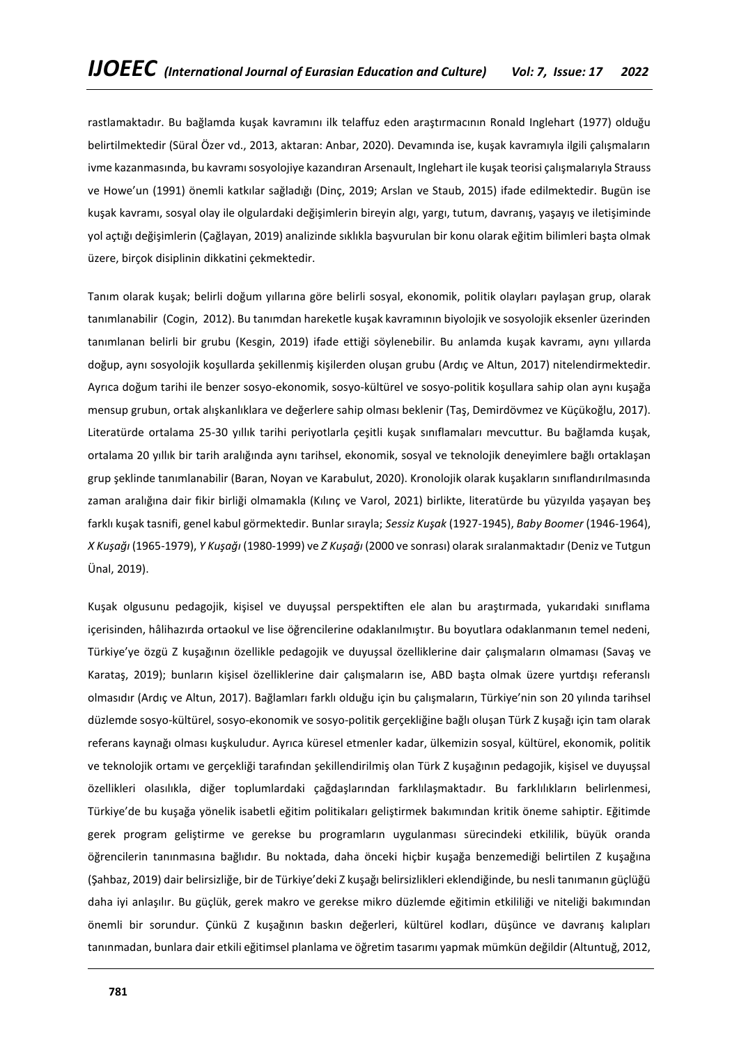rastlamaktadır. Bu bağlamda kuşak kavramını ilk telaffuz eden araştırmacının Ronald Inglehart (1977) olduğu belirtilmektedir (Süral Özer vd., 2013, aktaran: Anbar, 2020). Devamında ise, kuşak kavramıyla ilgili çalışmaların ivme kazanmasında, bu kavramı sosyolojiye kazandıran Arsenault, Inglehart ile kuşak teorisi çalışmalarıyla Strauss ve Howe'un (1991) önemli katkılar sağladığı (Dinç, 2019; Arslan ve Staub, 2015) ifade edilmektedir. Bugün ise kuşak kavramı, sosyal olay ile olgulardaki değişimlerin bireyin algı, yargı, tutum, davranış, yaşayış ve iletişiminde yol açtığı değişimlerin (Çağlayan, 2019) analizinde sıklıkla başvurulan bir konu olarak eğitim bilimleri başta olmak üzere, birçok disiplinin dikkatini çekmektedir.

Tanım olarak kuşak; belirli doğum yıllarına göre belirli sosyal, ekonomik, politik olayları paylaşan grup, olarak tanımlanabilir (Cogin, 2012). Bu tanımdan hareketle kuşak kavramının biyolojik ve sosyolojik eksenler üzerinden tanımlanan belirli bir grubu (Kesgin, 2019) ifade ettiği söylenebilir. Bu anlamda kuşak kavramı, aynı yıllarda doğup, aynı sosyolojik koşullarda şekillenmiş kişilerden oluşan grubu (Ardıç ve Altun, 2017) nitelendirmektedir. Ayrıca doğum tarihi ile benzer sosyo-ekonomik, sosyo-kültürel ve sosyo-politik koşullara sahip olan aynı kuşağa mensup grubun, ortak alışkanlıklara ve değerlere sahip olması beklenir (Taş, Demirdövmez ve Küçükoğlu, 2017). Literatürde ortalama 25-30 yıllık tarihi periyotlarla çeşitli kuşak sınıflamaları mevcuttur. Bu bağlamda kuşak, ortalama 20 yıllık bir tarih aralığında aynı tarihsel, ekonomik, sosyal ve teknolojik deneyimlere bağlı ortaklaşan grup şeklinde tanımlanabilir (Baran, Noyan ve Karabulut, 2020). Kronolojik olarak kuşakların sınıflandırılmasında zaman aralığına dair fikir birliği olmamakla (Kılınç ve Varol, 2021) birlikte, literatürde bu yüzyılda yaşayan beş farklı kuşak tasnifi, genel kabul görmektedir. Bunlar sırayla; *Sessiz Kuşak* (1927-1945), *Baby Boomer* (1946-1964), *X Kuşağı* (1965-1979), *Y Kuşağı* (1980-1999) ve *Z Kuşağı* (2000 ve sonrası) olarak sıralanmaktadır (Deniz ve Tutgun Ünal, 2019).

Kuşak olgusunu pedagojik, kişisel ve duyuşsal perspektiften ele alan bu araştırmada, yukarıdaki sınıflama içerisinden, hâlihazırda ortaokul ve lise öğrencilerine odaklanılmıştır. Bu boyutlara odaklanmanın temel nedeni, Türkiye'ye özgü Z kuşağının özellikle pedagojik ve duyuşsal özelliklerine dair çalışmaların olmaması (Savaş ve Karataş, 2019); bunların kişisel özelliklerine dair çalışmaların ise, ABD başta olmak üzere yurtdışı referanslı olmasıdır (Ardıç ve Altun, 2017). Bağlamları farklı olduğu için bu çalışmaların, Türkiye'nin son 20 yılında tarihsel düzlemde sosyo-kültürel, sosyo-ekonomik ve sosyo-politik gerçekliğine bağlı oluşan Türk Z kuşağı için tam olarak referans kaynağı olması kuşkuludur. Ayrıca küresel etmenler kadar, ülkemizin sosyal, kültürel, ekonomik, politik ve teknolojik ortamı ve gerçekliği tarafından şekillendirilmiş olan Türk Z kuşağının pedagojik, kişisel ve duyuşsal özellikleri olasılıkla, diğer toplumlardaki çağdaşlarından farklılaşmaktadır. Bu farklılıkların belirlenmesi, Türkiye'de bu kuşağa yönelik isabetli eğitim politikaları geliştirmek bakımından kritik öneme sahiptir. Eğitimde gerek program geliştirme ve gerekse bu programların uygulanması sürecindeki etkililik, büyük oranda öğrencilerin tanınmasına bağlıdır. Bu noktada, daha önceki hiçbir kuşağa benzemediği belirtilen Z kuşağına (Şahbaz, 2019) dair belirsizliğe, bir de Türkiye'deki Z kuşağı belirsizlikleri eklendiğinde, bu nesli tanımanın güçlüğü daha iyi anlaşılır. Bu güçlük, gerek makro ve gerekse mikro düzlemde eğitimin etkililiği ve niteliği bakımından önemli bir sorundur. Çünkü Z kuşağının baskın değerleri, kültürel kodları, düşünce ve davranış kalıpları tanınmadan, bunlara dair etkili eğitimsel planlama ve öğretim tasarımı yapmak mümkün değildir (Altuntuğ, 2012,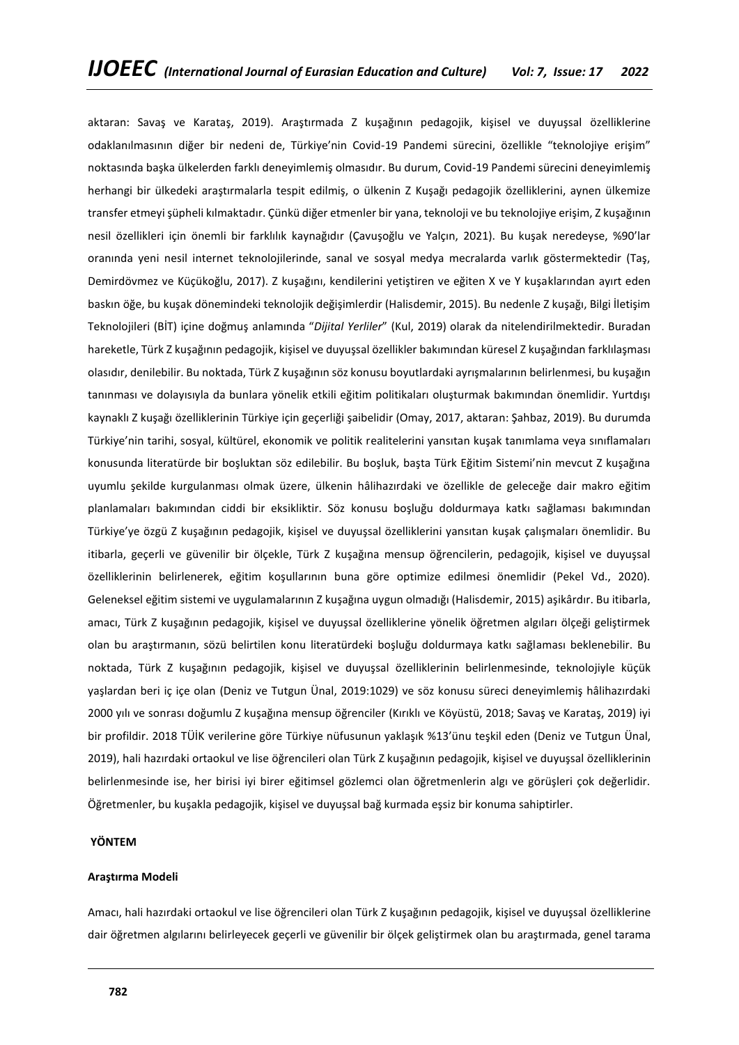aktaran: Savaş ve Karataş, 2019). Araştırmada Z kuşağının pedagojik, kişisel ve duyuşsal özelliklerine odaklanılmasının diğer bir nedeni de, Türkiye'nin Covid-19 Pandemi sürecini, özellikle "teknolojiye erişim" noktasında başka ülkelerden farklı deneyimlemiş olmasıdır. Bu durum, Covid-19 Pandemi sürecini deneyimlemiş herhangi bir ülkedeki araştırmalarla tespit edilmiş, o ülkenin Z Kuşağı pedagojik özelliklerini, aynen ülkemize transfer etmeyi şüpheli kılmaktadır. Çünkü diğer etmenler bir yana, teknoloji ve bu teknolojiye erişim, Z kuşağının nesil özellikleri için önemli bir farklılık kaynağıdır (Çavuşoğlu ve Yalçın, 2021). Bu kuşak neredeyse, %90'lar oranında yeni nesil internet teknolojilerinde, sanal ve sosyal medya mecralarda varlık göstermektedir (Taş, Demirdövmez ve Küçükoğlu, 2017). Z kuşağını, kendilerini yetiştiren ve eğiten X ve Y kuşaklarından ayırt eden baskın öğe, bu kuşak dönemindeki teknolojik değişimlerdir (Halisdemir, 2015). Bu nedenle Z kuşağı, Bilgi İletişim Teknolojileri (BİT) içine doğmuş anlamında "*Dijital Yerliler*" (Kul, 2019) olarak da nitelendirilmektedir. Buradan hareketle, Türk Z kuşağının pedagojik, kişisel ve duyuşsal özellikler bakımından küresel Z kuşağından farklılaşması olasıdır, denilebilir. Bu noktada, Türk Z kuşağının söz konusu boyutlardaki ayrışmalarının belirlenmesi, bu kuşağın tanınması ve dolayısıyla da bunlara yönelik etkili eğitim politikaları oluşturmak bakımından önemlidir. Yurtdışı kaynaklı Z kuşağı özelliklerinin Türkiye için geçerliği şaibelidir (Omay, 2017, aktaran: Şahbaz, 2019). Bu durumda Türkiye'nin tarihi, sosyal, kültürel, ekonomik ve politik realitelerini yansıtan kuşak tanımlama veya sınıflamaları konusunda literatürde bir boşluktan söz edilebilir. Bu boşluk, başta Türk Eğitim Sistemi'nin mevcut Z kuşağına uyumlu şekilde kurgulanması olmak üzere, ülkenin hâlihazırdaki ve özellikle de geleceğe dair makro eğitim planlamaları bakımından ciddi bir eksikliktir. Söz konusu boşluğu doldurmaya katkı sağlaması bakımından Türkiye'ye özgü Z kuşağının pedagojik, kişisel ve duyuşsal özelliklerini yansıtan kuşak çalışmaları önemlidir. Bu itibarla, geçerli ve güvenilir bir ölçekle, Türk Z kuşağına mensup öğrencilerin, pedagojik, kişisel ve duyuşsal özelliklerinin belirlenerek, eğitim koşullarının buna göre optimize edilmesi önemlidir (Pekel Vd., 2020). Geleneksel eğitim sistemi ve uygulamalarının Z kuşağına uygun olmadığı (Halisdemir, 2015) aşikârdır. Bu itibarla, amacı, Türk Z kuşağının pedagojik, kişisel ve duyuşsal özelliklerine yönelik öğretmen algıları ölçeği geliştirmek olan bu araştırmanın, sözü belirtilen konu literatürdeki boşluğu doldurmaya katkı sağlaması beklenebilir. Bu noktada, Türk Z kuşağının pedagojik, kişisel ve duyuşsal özelliklerinin belirlenmesinde, teknolojiyle küçük yaşlardan beri iç içe olan (Deniz ve Tutgun Ünal, 2019:1029) ve söz konusu süreci deneyimlemiş hâlihazırdaki 2000 yılı ve sonrası doğumlu Z kuşağına mensup öğrenciler (Kırıklı ve Köyüstü, 2018; Savaş ve Karataş, 2019) iyi bir profildir. 2018 TÜİK verilerine göre Türkiye nüfusunun yaklaşık %13'ünu teşkil eden (Deniz ve Tutgun Ünal, 2019), hali hazırdaki ortaokul ve lise öğrencileri olan Türk Z kuşağının pedagojik, kişisel ve duyuşsal özelliklerinin belirlenmesinde ise, her birisi iyi birer eğitimsel gözlemci olan öğretmenlerin algı ve görüşleri çok değerlidir. Öğretmenler, bu kuşakla pedagojik, kişisel ve duyuşsal bağ kurmada eşsiz bir konuma sahiptirler.

## **YÖNTEM**

## **Araştırma Modeli**

Amacı, hali hazırdaki ortaokul ve lise öğrencileri olan Türk Z kuşağının pedagojik, kişisel ve duyuşsal özelliklerine dair öğretmen algılarını belirleyecek geçerli ve güvenilir bir ölçek geliştirmek olan bu araştırmada, genel tarama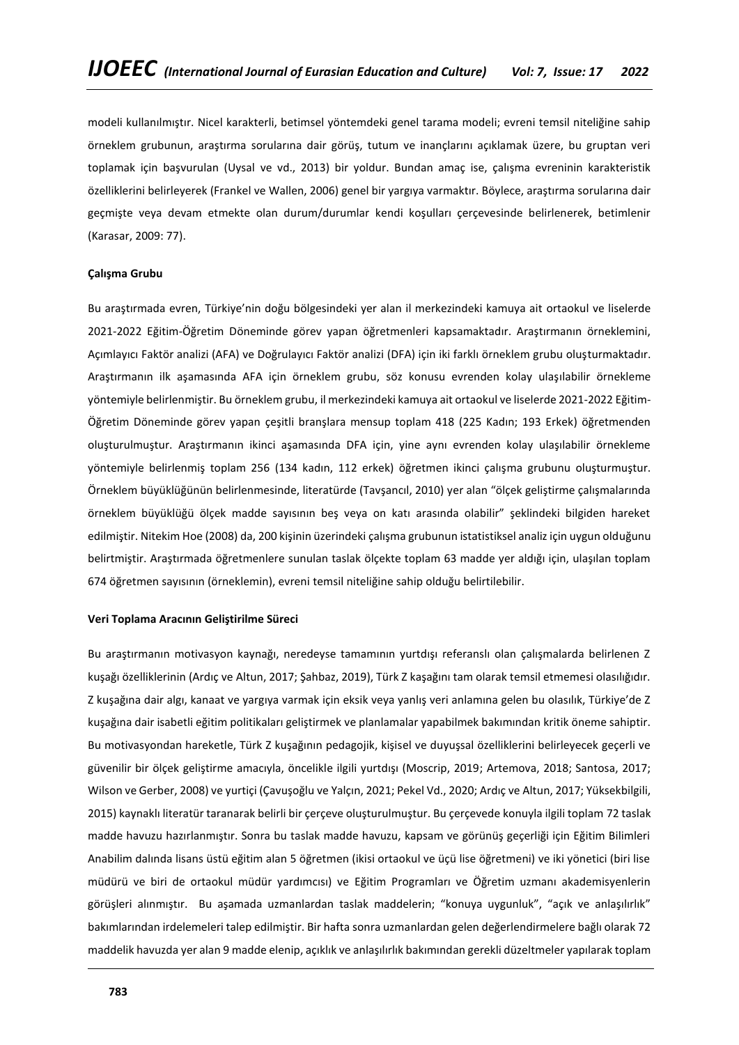modeli kullanılmıştır. Nicel karakterli, betimsel yöntemdeki genel tarama modeli; evreni temsil niteliğine sahip örneklem grubunun, araştırma sorularına dair görüş, tutum ve inançlarını açıklamak üzere, bu gruptan veri toplamak için başvurulan (Uysal ve vd., 2013) bir yoldur. Bundan amaç ise, çalışma evreninin karakteristik özelliklerini belirleyerek (Frankel ve Wallen, 2006) genel bir yargıya varmaktır. Böylece, araştırma sorularına dair geçmişte veya devam etmekte olan durum/durumlar kendi koşulları çerçevesinde belirlenerek, betimlenir (Karasar, 2009: 77).

## **Çalışma Grubu**

Bu araştırmada evren, Türkiye'nin doğu bölgesindeki yer alan il merkezindeki kamuya ait ortaokul ve liselerde 2021-2022 Eğitim-Öğretim Döneminde görev yapan öğretmenleri kapsamaktadır. Araştırmanın örneklemini, Açımlayıcı Faktör analizi (AFA) ve Doğrulayıcı Faktör analizi (DFA) için iki farklı örneklem grubu oluşturmaktadır. Araştırmanın ilk aşamasında AFA için örneklem grubu, söz konusu evrenden kolay ulaşılabilir örnekleme yöntemiyle belirlenmiştir. Bu örneklem grubu, il merkezindeki kamuya ait ortaokul ve liselerde 2021-2022 Eğitim-Öğretim Döneminde görev yapan çeşitli branşlara mensup toplam 418 (225 Kadın; 193 Erkek) öğretmenden oluşturulmuştur. Araştırmanın ikinci aşamasında DFA için, yine aynı evrenden kolay ulaşılabilir örnekleme yöntemiyle belirlenmiş toplam 256 (134 kadın, 112 erkek) öğretmen ikinci çalışma grubunu oluşturmuştur. Örneklem büyüklüğünün belirlenmesinde, literatürde (Tavşancıl, 2010) yer alan "ölçek geliştirme çalışmalarında örneklem büyüklüğü ölçek madde sayısının beş veya on katı arasında olabilir" şeklindeki bilgiden hareket edilmiştir. Nitekim Hoe (2008) da, 200 kişinin üzerindeki çalışma grubunun istatistiksel analiz için uygun olduğunu belirtmiştir. Araştırmada öğretmenlere sunulan taslak ölçekte toplam 63 madde yer aldığı için, ulaşılan toplam 674 öğretmen sayısının (örneklemin), evreni temsil niteliğine sahip olduğu belirtilebilir.

## **Veri Toplama Aracının Geliştirilme Süreci**

Bu araştırmanın motivasyon kaynağı, neredeyse tamamının yurtdışı referanslı olan çalışmalarda belirlenen Z kuşağı özelliklerinin (Ardıç ve Altun, 2017; Şahbaz, 2019), Türk Z kaşağını tam olarak temsil etmemesi olasılığıdır. Z kuşağına dair algı, kanaat ve yargıya varmak için eksik veya yanlış veri anlamına gelen bu olasılık, Türkiye'de Z kuşağına dair isabetli eğitim politikaları geliştirmek ve planlamalar yapabilmek bakımından kritik öneme sahiptir. Bu motivasyondan hareketle, Türk Z kuşağının pedagojik, kişisel ve duyuşsal özelliklerini belirleyecek geçerli ve güvenilir bir ölçek geliştirme amacıyla, öncelikle ilgili yurtdışı (Moscrip, 2019; Artemova, 2018; Santosa, 2017; Wilson ve Gerber, 2008) ve yurtiçi (Çavuşoğlu ve Yalçın, 2021; Pekel Vd., 2020; Ardıç ve Altun, 2017; Yüksekbilgili, 2015) kaynaklı literatür taranarak belirli bir çerçeve oluşturulmuştur. Bu çerçevede konuyla ilgili toplam 72 taslak madde havuzu hazırlanmıştır. Sonra bu taslak madde havuzu, kapsam ve görünüş geçerliği için Eğitim Bilimleri Anabilim dalında lisans üstü eğitim alan 5 öğretmen (ikisi ortaokul ve üçü lise öğretmeni) ve iki yönetici (biri lise müdürü ve biri de ortaokul müdür yardımcısı) ve Eğitim Programları ve Öğretim uzmanı akademisyenlerin görüşleri alınmıştır. Bu aşamada uzmanlardan taslak maddelerin; "konuya uygunluk", "açık ve anlaşılırlık" bakımlarından irdelemeleri talep edilmiştir. Bir hafta sonra uzmanlardan gelen değerlendirmelere bağlı olarak 72 maddelik havuzda yer alan 9 madde elenip, açıklık ve anlaşılırlık bakımından gerekli düzeltmeler yapılarak toplam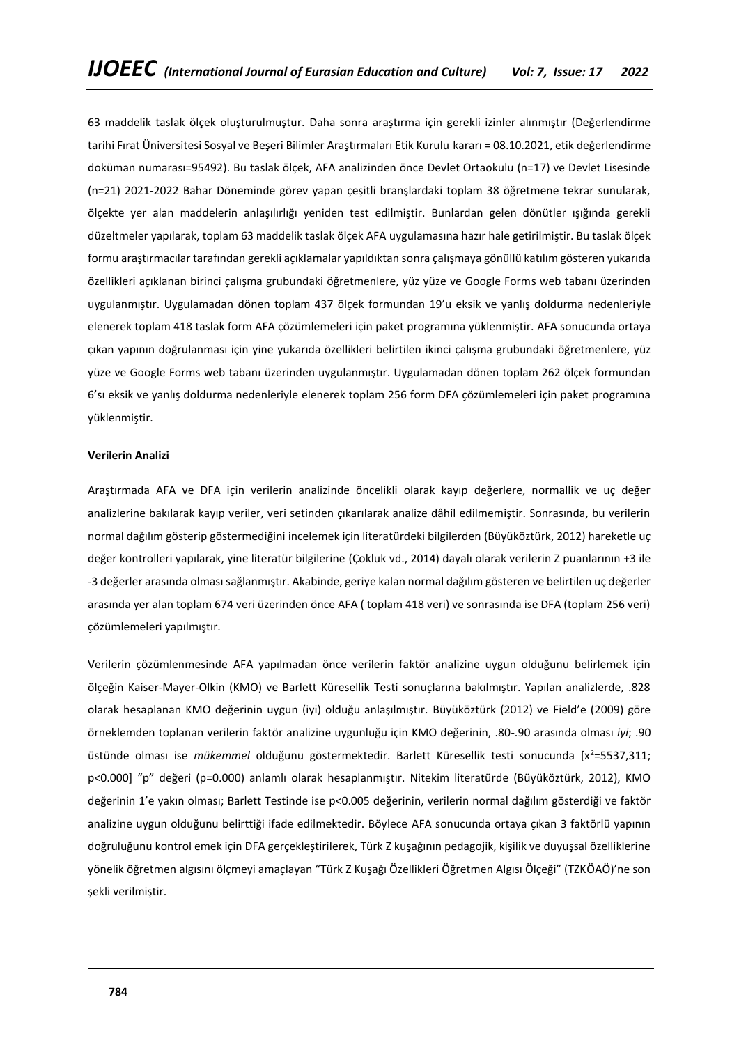63 maddelik taslak ölçek oluşturulmuştur. Daha sonra araştırma için gerekli izinler alınmıştır (Değerlendirme tarihi Fırat Üniversitesi Sosyal ve Beşeri Bilimler Araştırmaları Etik Kurulu kararı = 08.10.2021, etik değerlendirme doküman numarası=95492). Bu taslak ölçek, AFA analizinden önce Devlet Ortaokulu (n=17) ve Devlet Lisesinde (n=21) 2021-2022 Bahar Döneminde görev yapan çeşitli branşlardaki toplam 38 öğretmene tekrar sunularak, ölçekte yer alan maddelerin anlaşılırlığı yeniden test edilmiştir. Bunlardan gelen dönütler ışığında gerekli düzeltmeler yapılarak, toplam 63 maddelik taslak ölçek AFA uygulamasına hazır hale getirilmiştir. Bu taslak ölçek formu araştırmacılar tarafından gerekli açıklamalar yapıldıktan sonra çalışmaya gönüllü katılım gösteren yukarıda özellikleri açıklanan birinci çalışma grubundaki öğretmenlere, yüz yüze ve Google Forms web tabanı üzerinden uygulanmıştır. Uygulamadan dönen toplam 437 ölçek formundan 19'u eksik ve yanlış doldurma nedenleriyle elenerek toplam 418 taslak form AFA çözümlemeleri için paket programına yüklenmiştir. AFA sonucunda ortaya çıkan yapının doğrulanması için yine yukarıda özellikleri belirtilen ikinci çalışma grubundaki öğretmenlere, yüz yüze ve Google Forms web tabanı üzerinden uygulanmıştır. Uygulamadan dönen toplam 262 ölçek formundan 6'sı eksik ve yanlış doldurma nedenleriyle elenerek toplam 256 form DFA çözümlemeleri için paket programına yüklenmiştir.

## **Verilerin Analizi**

Araştırmada AFA ve DFA için verilerin analizinde öncelikli olarak kayıp değerlere, normallik ve uç değer analizlerine bakılarak kayıp veriler, veri setinden çıkarılarak analize dâhil edilmemiştir. Sonrasında, bu verilerin normal dağılım gösterip göstermediğini incelemek için literatürdeki bilgilerden (Büyüköztürk, 2012) hareketle uç değer kontrolleri yapılarak, yine literatür bilgilerine (Çokluk vd., 2014) dayalı olarak verilerin Z puanlarının +3 ile -3 değerler arasında olması sağlanmıştır. Akabinde, geriye kalan normal dağılım gösteren ve belirtilen uç değerler arasında yer alan toplam 674 veri üzerinden önce AFA ( toplam 418 veri) ve sonrasında ise DFA (toplam 256 veri) çözümlemeleri yapılmıştır.

Verilerin çözümlenmesinde AFA yapılmadan önce verilerin faktör analizine uygun olduğunu belirlemek için ölçeğin Kaiser-Mayer-Olkin (KMO) ve Barlett Küresellik Testi sonuçlarına bakılmıştır. Yapılan analizlerde, .828 olarak hesaplanan KMO değerinin uygun (iyi) olduğu anlaşılmıştır. Büyüköztürk (2012) ve Field'e (2009) göre örneklemden toplanan verilerin faktör analizine uygunluğu için KMO değerinin, .80-.90 arasında olması *iyi*; .90 üstünde olması ise *mükemmel* olduğunu göstermektedir. Barlett Küresellik testi sonucunda [x<sup>2</sup>=5537,311; p<0.000] "p" değeri (p=0.000) anlamlı olarak hesaplanmıştır. Nitekim literatürde (Büyüköztürk, 2012), KMO değerinin 1'e yakın olması; Barlett Testinde ise p<0.005 değerinin, verilerin normal dağılım gösterdiği ve faktör analizine uygun olduğunu belirttiği ifade edilmektedir. Böylece AFA sonucunda ortaya çıkan 3 faktörlü yapının doğruluğunu kontrol emek için DFA gerçekleştirilerek, Türk Z kuşağının pedagojik, kişilik ve duyuşsal özelliklerine yönelik öğretmen algısını ölçmeyi amaçlayan "Türk Z Kuşağı Özellikleri Öğretmen Algısı Ölçeği" (TZKÖAÖ)'ne son şekli verilmiştir.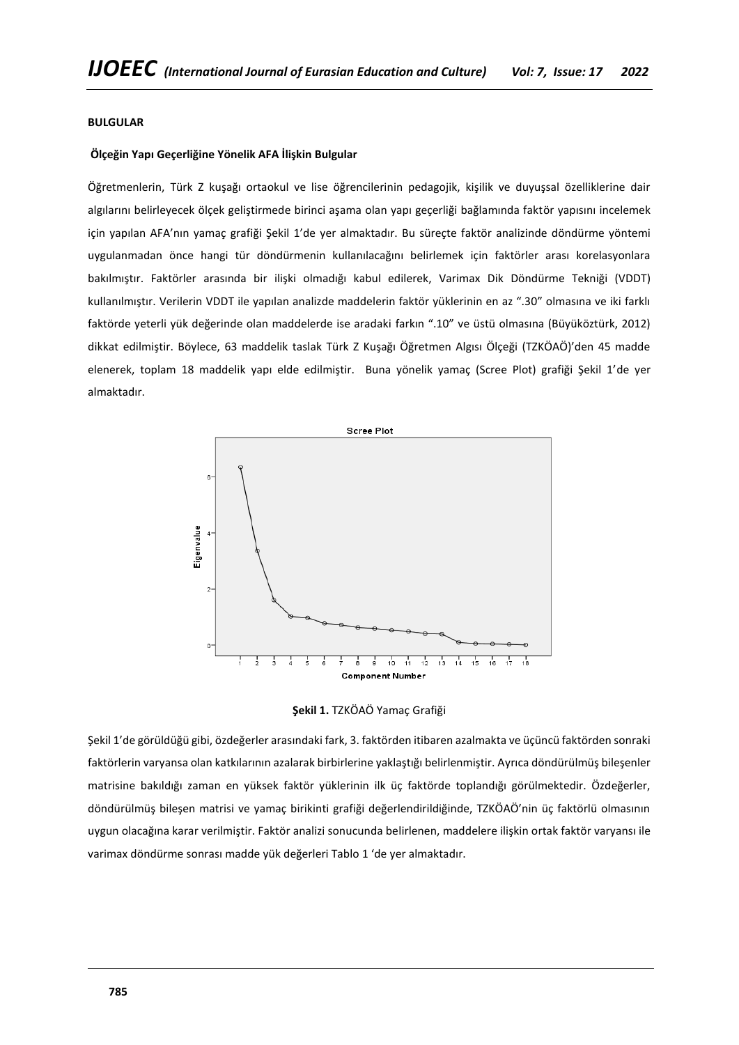## **BULGULAR**

## **Ölçeğin Yapı Geçerliğine Yönelik AFA İlişkin Bulgular**

Öğretmenlerin, Türk Z kuşağı ortaokul ve lise öğrencilerinin pedagojik, kişilik ve duyuşsal özelliklerine dair algılarını belirleyecek ölçek geliştirmede birinci aşama olan yapı geçerliği bağlamında faktör yapısını incelemek için yapılan AFA'nın yamaç grafiği Şekil 1'de yer almaktadır. Bu süreçte faktör analizinde döndürme yöntemi uygulanmadan önce hangi tür döndürmenin kullanılacağını belirlemek için faktörler arası korelasyonlara bakılmıştır. Faktörler arasında bir ilişki olmadığı kabul edilerek, Varimax Dik Döndürme Tekniği (VDDT) kullanılmıştır. Verilerin VDDT ile yapılan analizde maddelerin faktör yüklerinin en az ".30" olmasına ve iki farklı faktörde yeterli yük değerinde olan maddelerde ise aradaki farkın ".10" ve üstü olmasına (Büyüköztürk, 2012) dikkat edilmiştir. Böylece, 63 maddelik taslak Türk Z Kuşağı Öğretmen Algısı Ölçeği (TZKÖAÖ)'den 45 madde elenerek, toplam 18 maddelik yapı elde edilmiştir. Buna yönelik yamaç (Scree Plot) grafiği Şekil 1'de yer almaktadır.



**Şekil 1.** TZKÖAÖ Yamaç Grafiği

Şekil 1'de görüldüğü gibi, özdeğerler arasındaki fark, 3. faktörden itibaren azalmakta ve üçüncü faktörden sonraki faktörlerin varyansa olan katkılarının azalarak birbirlerine yaklaştığı belirlenmiştir. Ayrıca döndürülmüş bileşenler matrisine bakıldığı zaman en yüksek faktör yüklerinin ilk üç faktörde toplandığı görülmektedir. Özdeğerler, döndürülmüş bileşen matrisi ve yamaç birikinti grafiği değerlendirildiğinde, TZKÖAÖ'nin üç faktörlü olmasının uygun olacağına karar verilmiştir. Faktör analizi sonucunda belirlenen, maddelere ilişkin ortak faktör varyansı ile varimax döndürme sonrası madde yük değerleri Tablo 1 'de yer almaktadır.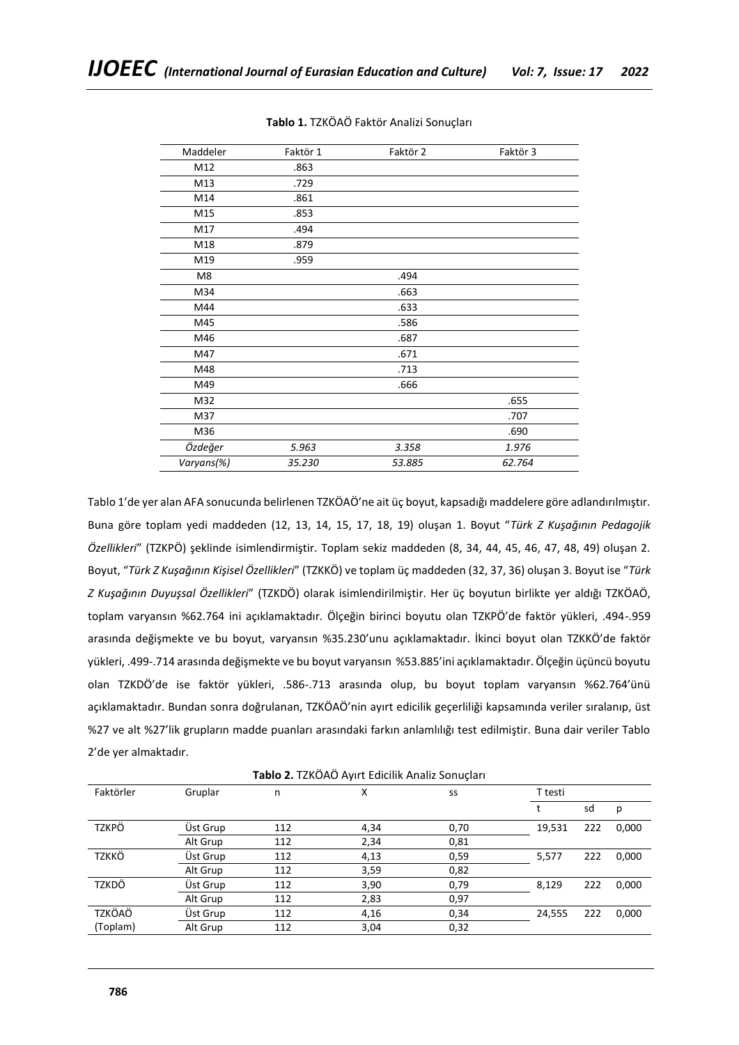| Maddeler   | Faktör 1 | Faktör 2 | Faktör 3 |
|------------|----------|----------|----------|
| M12        | .863     |          |          |
| M13        | .729     |          |          |
| M14        | .861     |          |          |
| M15        | .853     |          |          |
| M17        | .494     |          |          |
| M18        | .879     |          |          |
| M19        | .959     |          |          |
| M8         |          | .494     |          |
| M34        |          | .663     |          |
| M44        |          | .633     |          |
| M45        |          | .586     |          |
| M46        |          | .687     |          |
| M47        |          | .671     |          |
| M48        |          | .713     |          |
| M49        |          | .666     |          |
| M32        |          |          | .655     |
| M37        |          |          | .707     |
| M36        |          |          | .690     |
| Özdeğer    | 5.963    | 3.358    | 1.976    |
| Varyans(%) | 35.230   | 53.885   | 62.764   |

**Tablo 1.** TZKÖAÖ Faktör Analizi Sonuçları

Tablo 1'de yer alan AFA sonucunda belirlenen TZKÖAÖ'ne ait üç boyut, kapsadığı maddelere göre adlandırılmıştır. Buna göre toplam yedi maddeden (12, 13, 14, 15, 17, 18, 19) oluşan 1. Boyut "*Türk Z Kuşağının Pedagojik Özellikleri*" (TZKPÖ) şeklinde isimlendirmiştir. Toplam sekiz maddeden (8, 34, 44, 45, 46, 47, 48, 49) oluşan 2. Boyut, "*Türk Z Kuşağının Kişisel Özellikleri*" (TZKKÖ) ve toplam üç maddeden (32, 37, 36) oluşan 3. Boyut ise "*Türk Z Kuşağının Duyuşsal Özellikleri*" (TZKDÖ) olarak isimlendirilmiştir. Her üç boyutun birlikte yer aldığı TZKÖAÖ, toplam varyansın %62.764 ini açıklamaktadır. Ölçeğin birinci boyutu olan TZKPÖ'de faktör yükleri, .494-.959 arasında değişmekte ve bu boyut, varyansın %35.230'unu açıklamaktadır. İkinci boyut olan TZKKÖ'de faktör yükleri, .499-.714 arasında değişmekte ve bu boyut varyansın %53.885'ini açıklamaktadır. Ölçeğin üçüncü boyutu olan TZKDÖ'de ise faktör yükleri, .586-.713 arasında olup, bu boyut toplam varyansın %62.764'ünü açıklamaktadır. Bundan sonra doğrulanan, TZKÖAÖ'nin ayırt edicilik geçerliliği kapsamında veriler sıralanıp, üst %27 ve alt %27'lik grupların madde puanları arasındaki farkın anlamlılığı test edilmiştir. Buna dair veriler Tablo 2'de yer almaktadır.

|  |  | Tablo 2. TZKÖAÖ Ayırt Edicilik Analiz Sonuçları |
|--|--|-------------------------------------------------|
|--|--|-------------------------------------------------|

| Faktörler | Gruplar  | n   | Χ    | SS   | T testi |     |       |
|-----------|----------|-----|------|------|---------|-----|-------|
|           |          |     |      |      |         | sd  | р     |
| TZKPÖ     | Üst Grup | 112 | 4,34 | 0,70 | 19,531  | 222 | 0,000 |
|           | Alt Grup | 112 | 2,34 | 0,81 |         |     |       |
| TZKKÖ     | Üst Grup | 112 | 4,13 | 0,59 | 5,577   | 222 | 0,000 |
|           | Alt Grup | 112 | 3,59 | 0,82 |         |     |       |
| TZKDÖ     | Üst Grup | 112 | 3,90 | 0,79 | 8,129   | 222 | 0,000 |
|           | Alt Grup | 112 | 2,83 | 0,97 |         |     |       |
| TZKÖAÖ    | Üst Grup | 112 | 4,16 | 0,34 | 24,555  | 222 | 0,000 |
| (Toplam)  | Alt Grup | 112 | 3,04 | 0,32 |         |     |       |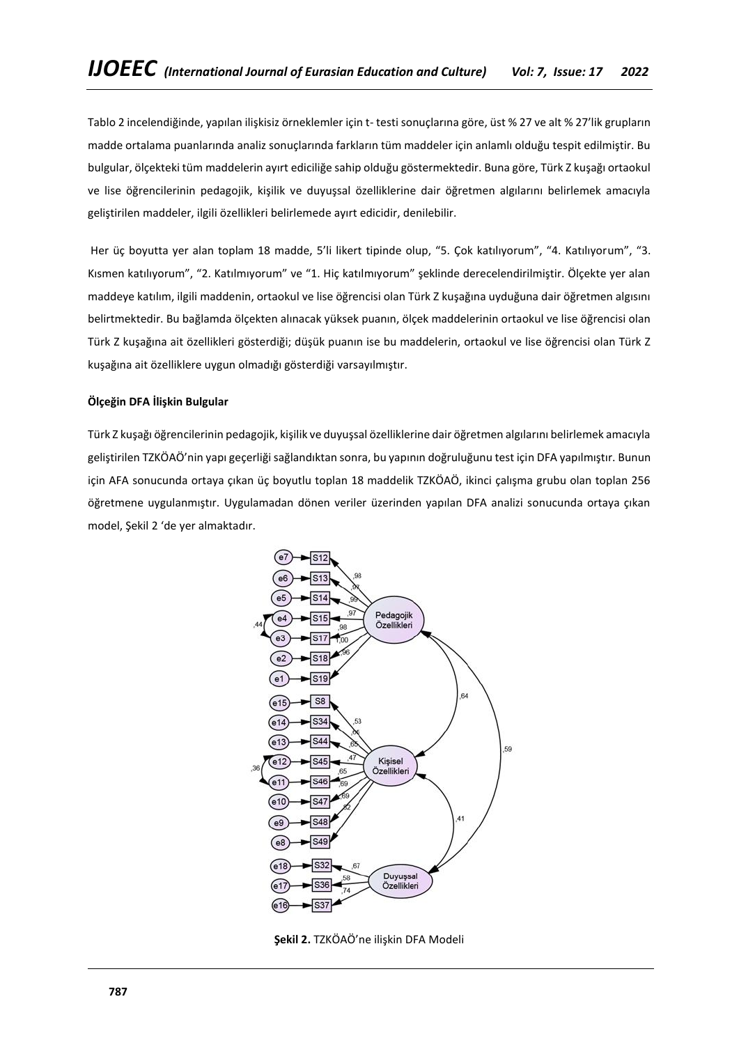Tablo 2 incelendiğinde, yapılan ilişkisiz örneklemler için t- testi sonuçlarına göre, üst % 27 ve alt % 27'lik grupların madde ortalama puanlarında analiz sonuçlarında farkların tüm maddeler için anlamlı olduğu tespit edilmiştir. Bu bulgular, ölçekteki tüm maddelerin ayırt ediciliğe sahip olduğu göstermektedir. Buna göre, Türk Z kuşağı ortaokul ve lise öğrencilerinin pedagojik, kişilik ve duyuşsal özelliklerine dair öğretmen algılarını belirlemek amacıyla geliştirilen maddeler, ilgili özellikleri belirlemede ayırt edicidir, denilebilir.

Her üç boyutta yer alan toplam 18 madde, 5'li likert tipinde olup, "5. Çok katılıyorum", "4. Katılıyorum", "3. Kısmen katılıyorum", "2. Katılmıyorum" ve "1. Hiç katılmıyorum" şeklinde derecelendirilmiştir. Ölçekte yer alan maddeye katılım, ilgili maddenin, ortaokul ve lise öğrencisi olan Türk Z kuşağına uyduğuna dair öğretmen algısını belirtmektedir. Bu bağlamda ölçekten alınacak yüksek puanın, ölçek maddelerinin ortaokul ve lise öğrencisi olan Türk Z kuşağına ait özellikleri gösterdiği; düşük puanın ise bu maddelerin, ortaokul ve lise öğrencisi olan Türk Z kuşağına ait özelliklere uygun olmadığı gösterdiği varsayılmıştır.

# **Ölçeğin DFA İlişkin Bulgular**

Türk Z kuşağı öğrencilerinin pedagojik, kişilik ve duyuşsal özelliklerine dair öğretmen algılarını belirlemek amacıyla geliştirilen TZKÖAÖ'nin yapı geçerliği sağlandıktan sonra, bu yapının doğruluğunu test için DFA yapılmıştır. Bunun için AFA sonucunda ortaya çıkan üç boyutlu toplan 18 maddelik TZKÖAÖ, ikinci çalışma grubu olan toplan 256 öğretmene uygulanmıştır. Uygulamadan dönen veriler üzerinden yapılan DFA analizi sonucunda ortaya çıkan model, Şekil 2 'de yer almaktadır.



**Şekil 2.** TZKÖAÖ'ne ilişkin DFA Modeli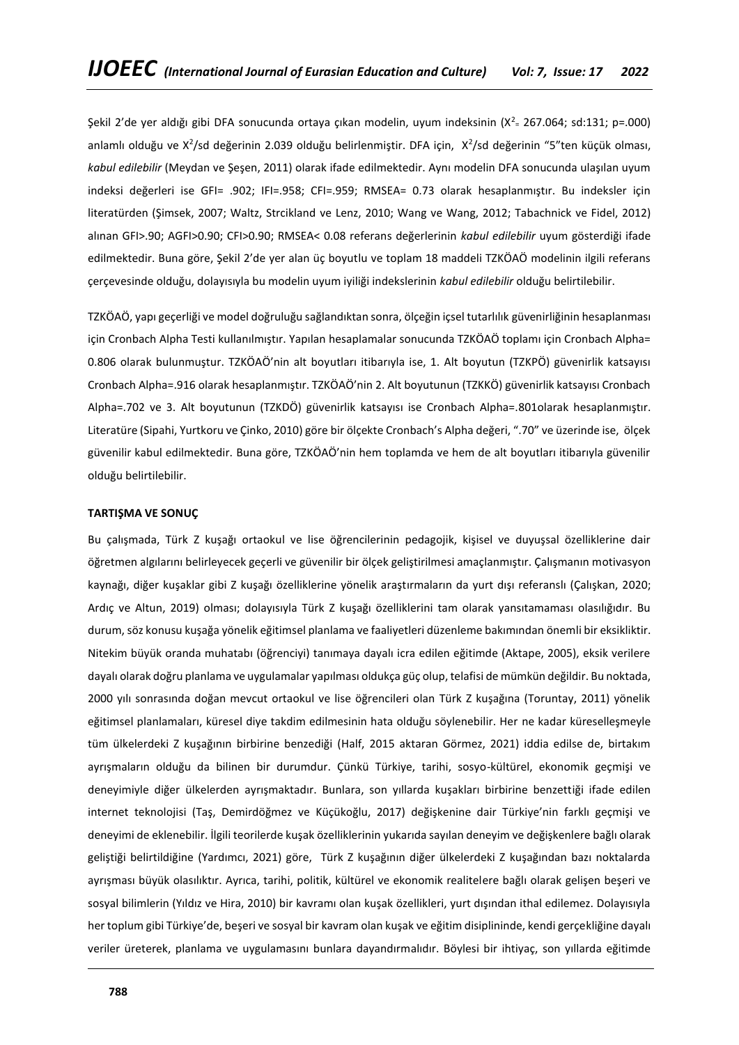Şekil 2'de yer aldığı gibi DFA sonucunda ortaya çıkan modelin, uyum indeksinin (X<sup>2</sup>= 267.064; sd:131; p=.000) anlamlı olduğu ve X<sup>2</sup>/sd değerinin 2.039 olduğu belirlenmiştir. DFA için, X<sup>2</sup>/sd değerinin "5"ten küçük olması, *kabul edilebilir* (Meydan ve Şeşen, 2011) olarak ifade edilmektedir. Aynı modelin DFA sonucunda ulaşılan uyum indeksi değerleri ise GFI= .902; IFI=.958; CFI=.959; RMSEA= 0.73 olarak hesaplanmıştır. Bu indeksler için literatürden (Şimsek, 2007; Waltz, Strcikland ve Lenz, 2010; Wang ve Wang, 2012; Tabachnick ve Fidel, 2012) alınan GFI>.90; AGFI>0.90; CFI>0.90; RMSEA< 0.08 referans değerlerinin *kabul edilebilir* uyum gösterdiği ifade edilmektedir. Buna göre, Şekil 2'de yer alan üç boyutlu ve toplam 18 maddeli TZKÖAÖ modelinin ilgili referans çerçevesinde olduğu, dolayısıyla bu modelin uyum iyiliği indekslerinin *kabul edilebilir* olduğu belirtilebilir.

TZKÖAÖ, yapı geçerliği ve model doğruluğu sağlandıktan sonra, ölçeğin içsel tutarlılık güvenirliğinin hesaplanması için Cronbach Alpha Testi kullanılmıştır. Yapılan hesaplamalar sonucunda TZKÖAÖ toplamı için Cronbach Alpha= 0.806 olarak bulunmuştur. TZKÖAÖ'nin alt boyutları itibarıyla ise, 1. Alt boyutun (TZKPÖ) güvenirlik katsayısı Cronbach Alpha=.916 olarak hesaplanmıştır. TZKÖAÖ'nin 2. Alt boyutunun (TZKKÖ) güvenirlik katsayısı Cronbach Alpha=.702 ve 3. Alt boyutunun (TZKDÖ) güvenirlik katsayısı ise Cronbach Alpha=.801olarak hesaplanmıştır. Literatüre (Sipahi, Yurtkoru ve Çinko, 2010) göre bir ölçekte Cronbach's Alpha değeri, ".70" ve üzerinde ise, ölçek güvenilir kabul edilmektedir. Buna göre, TZKÖAÖ'nin hem toplamda ve hem de alt boyutları itibarıyla güvenilir olduğu belirtilebilir.

#### **TARTIŞMA VE SONUÇ**

Bu çalışmada, Türk Z kuşağı ortaokul ve lise öğrencilerinin pedagojik, kişisel ve duyuşsal özelliklerine dair öğretmen algılarını belirleyecek geçerli ve güvenilir bir ölçek geliştirilmesi amaçlanmıştır. Çalışmanın motivasyon kaynağı, diğer kuşaklar gibi Z kuşağı özelliklerine yönelik araştırmaların da yurt dışı referanslı (Çalışkan, 2020; Ardıç ve Altun, 2019) olması; dolayısıyla Türk Z kuşağı özelliklerini tam olarak yansıtamaması olasılığıdır. Bu durum, söz konusu kuşağa yönelik eğitimsel planlama ve faaliyetleri düzenleme bakımından önemli bir eksikliktir. Nitekim büyük oranda muhatabı (öğrenciyi) tanımaya dayalı icra edilen eğitimde (Aktape, 2005), eksik verilere dayalı olarak doğru planlama ve uygulamalar yapılması oldukça güç olup, telafisi de mümkün değildir. Bu noktada, 2000 yılı sonrasında doğan mevcut ortaokul ve lise öğrencileri olan Türk Z kuşağına (Toruntay, 2011) yönelik eğitimsel planlamaları, küresel diye takdim edilmesinin hata olduğu söylenebilir. Her ne kadar küreselleşmeyle tüm ülkelerdeki Z kuşağının birbirine benzediği (Half, 2015 aktaran Görmez, 2021) iddia edilse de, birtakım ayrışmaların olduğu da bilinen bir durumdur. Çünkü Türkiye, tarihi, sosyo-kültürel, ekonomik geçmişi ve deneyimiyle diğer ülkelerden ayrışmaktadır. Bunlara, son yıllarda kuşakları birbirine benzettiği ifade edilen internet teknolojisi (Taş, Demirdöğmez ve Küçükoğlu, 2017) değişkenine dair Türkiye'nin farklı geçmişi ve deneyimi de eklenebilir. İlgili teorilerde kuşak özelliklerinin yukarıda sayılan deneyim ve değişkenlere bağlı olarak geliştiği belirtildiğine (Yardımcı, 2021) göre, Türk Z kuşağının diğer ülkelerdeki Z kuşağından bazı noktalarda ayrışması büyük olasılıktır. Ayrıca, tarihi, politik, kültürel ve ekonomik realitelere bağlı olarak gelişen beşeri ve sosyal bilimlerin (Yıldız ve Hira, 2010) bir kavramı olan kuşak özellikleri, yurt dışından ithal edilemez. Dolayısıyla her toplum gibi Türkiye'de, beşeri ve sosyal bir kavram olan kuşak ve eğitim disiplininde, kendi gerçekliğine dayalı veriler üreterek, planlama ve uygulamasını bunlara dayandırmalıdır. Böylesi bir ihtiyaç, son yıllarda eğitimde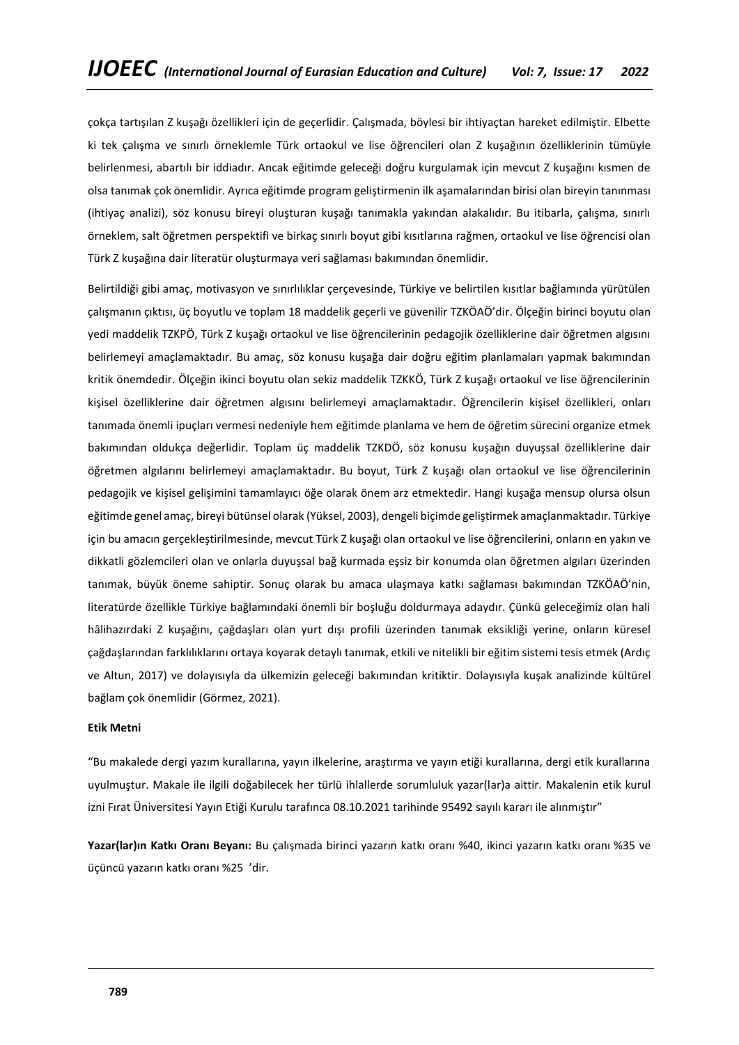çokça tartışılan Z kuşağı özellikleri için de geçerlidir. Çalışmada, böylesi bir ihtiyaçtan hareket edilmiştir. Elbette ki tek çalışma ve sınırlı örneklemle Türk ortaokul ve lise öğrencileri olan Z kuşağının özelliklerinin tümüyle belirlenmesi, abartılı bir iddiadır. Ancak eğitimde geleceği doğru kurgulamak için mevcut Z kuşağını kısmen de olsa tanımak çok önemlidir. Ayrıca eğitimde program geliştirmenin ilk aşamalarından birisi olan bireyin tanınması (ihtiyaç analizi), söz konusu bireyi oluşturan kuşağı tanımakla yakından alakalıdır. Bu itibarla, çalışma, sınırlı örneklem, salt öğretmen perspektifi ve birkaç sınırlı boyut gibi kısıtlarına rağmen, ortaokul ve lise öğrencisi olan Türk Z kuşağına dair literatür oluşturmaya veri sağlaması bakımından önemlidir.

Belirtildiği gibi amaç, motivasyon ve sınırlılıklar çerçevesinde, Türkiye ve belirtilen kısıtlar bağlamında yürütülen çalışmanın çıktısı, üç boyutlu ve toplam 18 maddelik geçerli ve güvenilir TZKÖAÖ'dir. Ölçeğin birinci boyutu olan yedi maddelik TZKPÖ, Türk Z kuşağı ortaokul ve lise öğrencilerinin pedagojik özelliklerine dair öğretmen algısını belirlemeyi amaçlamaktadır. Bu amaç, söz konusu kuşağa dair doğru eğitim planlamaları yapmak bakımından kritik önemdedir. Ölçeğin ikinci boyutu olan sekiz maddelik TZKKÖ, Türk Z kuşağı ortaokul ve lise öğrencilerinin kişisel özelliklerine dair öğretmen algısını belirlemeyi amaçlamaktadır. Öğrencilerin kişisel özellikleri, onları tanımada önemli ipuçları vermesi nedeniyle hem eğitimde planlama ve hem de öğretim sürecini organize etmek bakımından oldukça değerlidir. Toplam üç maddelik TZKDÖ, söz konusu kuşağın duyuşsal özelliklerine dair öğretmen algılarını belirlemeyi amaçlamaktadır. Bu boyut, Türk Z kuşağı olan ortaokul ve lise öğrencilerinin pedagojik ve kişisel gelişimini tamamlayıcı öğe olarak önem arz etmektedir. Hangi kuşağa mensup olursa olsun eğitimde genel amaç, bireyi bütünsel olarak (Yüksel, 2003), dengeli biçimde geliştirmek amaçlanmaktadır. Türkiye için bu amacın gerçekleştirilmesinde, mevcut Türk Z kuşağı olan ortaokul ve lise öğrencilerini, onların en yakın ve dikkatli gözlemcileri olan ve onlarla duyuşsal bağ kurmada eşsiz bir konumda olan öğretmen algıları üzerinden tanımak, büyük öneme sahiptir. Sonuç olarak bu amaca ulaşmaya katkı sağlaması bakımından TZKÖAÖ'nin, literatürde özellikle Türkiye bağlamındaki önemli bir boşluğu doldurmaya adaydır. Çünkü geleceğimiz olan hali hâlihazırdaki Z kuşağını, çağdaşları olan yurt dışı profili üzerinden tanımak eksikliği yerine, onların küresel çağdaşlarından farklılıklarını ortaya koyarak detaylı tanımak, etkili ve nitelikli bir eğitim sistemi tesis etmek (Ardıç ve Altun, 2017) ve dolayısıyla da ülkemizin geleceği bakımından kritiktir. Dolayısıyla kuşak analizinde kültürel bağlam çok önemlidir (Görmez, 2021).

## **Etik Metni**

"Bu makalede dergi yazım kurallarına, yayın ilkelerine, araştırma ve yayın etiği kurallarına, dergi etik kurallarına uyulmuştur. Makale ile ilgili doğabilecek her türlü ihlallerde sorumluluk yazar(lar)a aittir. Makalenin etik kurul izni Fırat Üniversitesi Yayın Etiği Kurulu tarafınca 08.10.2021 tarihinde 95492 sayılı kararı ile alınmıştır"

**Yazar(lar)ın Katkı Oranı Beyanı:** Bu çalışmada birinci yazarın katkı oranı %40, ikinci yazarın katkı oranı %35 ve üçüncü yazarın katkı oranı %25 'dir.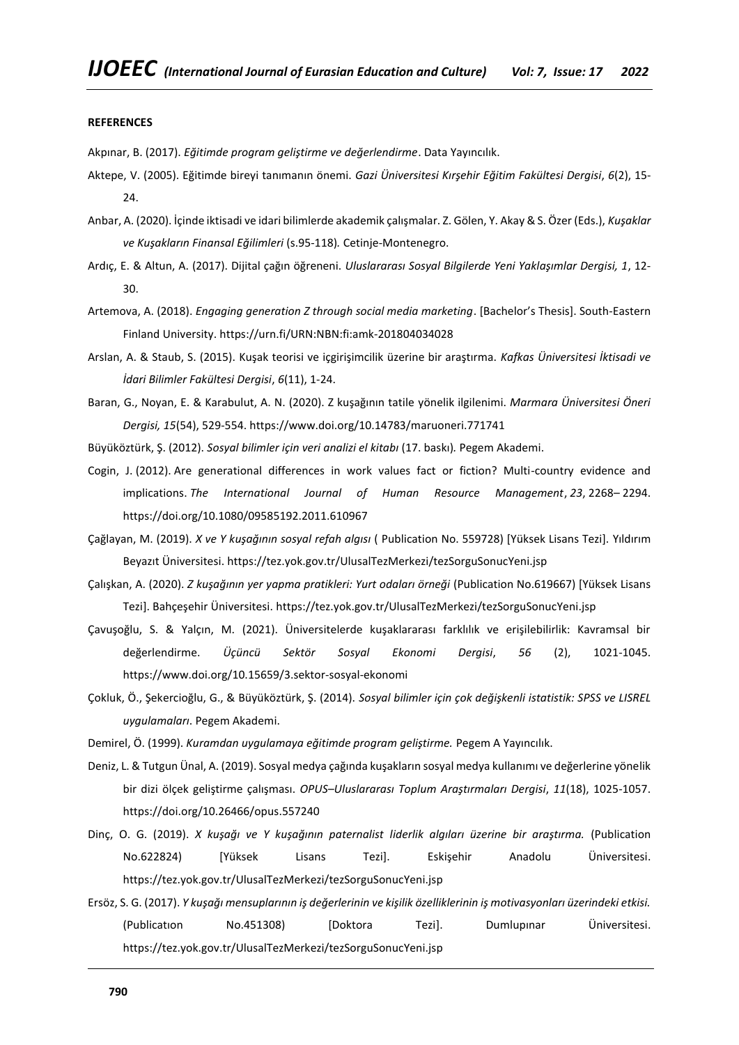#### **REFERENCES**

Akpınar, B. (2017). *Eğitimde program geliştirme ve değerlendirme*. Data Yayıncılık.

- Aktepe, V. (2005). Eğitimde bireyi tanımanın önemi. *Gazi Üniversitesi Kırşehir Eğitim Fakültesi Dergisi*, *6*(2), 15- 24.
- Anbar, A. (2020). İçinde iktisadi ve idari bilimlerde akademik çalışmalar. Z. Gölen, Y. Akay & S. Özer (Eds.), *Kuşaklar ve Kuşakların Finansal Eğilimleri* (s.95-118)*.* Cetinje-Montenegro.
- Ardıç, E. & Altun, A. (2017). Dijital çağın öğreneni. *Uluslararası Sosyal Bilgilerde Yeni Yaklaşımlar Dergisi, 1*, 12- 30.
- Artemova, A. (2018). *Engaging generation Z through social media marketing*. [Bachelor's Thesis]. South-Eastern Finland University.<https://urn.fi/URN:NBN:fi:amk-201804034028>
- Arslan, A. & Staub, S. (2015). Kuşak teorisi ve içgirişimcilik üzerine bir araştırma. *Kafkas Üniversitesi İktisadi ve İdari Bilimler Fakültesi Dergisi*, *6*(11), 1-24.
- Baran, G., Noyan, E. & Karabulut, A. N. (2020). Z kuşağının tatile yönelik ilgilenimi. *Marmara Üniversitesi Öneri Dergisi, 15*(54), 529-554.<https://www.doi.org/10.14783/maruoneri.771741>
- Büyüköztürk, Ş. (2012). *Sosyal bilimler için veri analizi el kitabı* (17. baskı)*.* Pegem Akademi.
- Cogin, J. (2012). Are generational differences in work values fact or fiction? Multi-country evidence and implications. *The International Journal of Human Resource Management*, *23*, 2268– 2294. <https://doi.org/10.1080/09585192.2011.610967>
- Çağlayan, M. (2019). *X ve Y kuşağının sosyal refah algısı* ( Publication No. 559728) [Yüksek Lisans Tezi]. Yıldırım Beyazıt Üniversitesi. <https://tez.yok.gov.tr/UlusalTezMerkezi/tezSorguSonucYeni.jsp>
- Çalışkan, A. (2020). *Z kuşağının yer yapma pratikleri: Yurt odaları örneği* (Publication No.619667) [Yüksek Lisans Tezi]. Bahçeşehir Üniversitesi. <https://tez.yok.gov.tr/UlusalTezMerkezi/tezSorguSonucYeni.jsp>
- Çavuşoğlu, S. & Yalçın, M. (2021). Üniversitelerde kuşaklararası farklılık ve erişilebilirlik: Kavramsal bir değerlendirme. *Üçüncü Sektör Sosyal Ekonomi Dergisi*, *56* (2), 1021-1045. <https://www.doi.org/10.15659/3.sektor-sosyal-ekonomi>
- Çokluk, Ö., Şekercioğlu, G., & Büyüköztürk, Ş. (2014). *Sosyal bilimler için çok değişkenli istatistik: SPSS ve LISREL uygulamaları*. Pegem Akademi.
- Demirel, Ö. (1999). *Kuramdan uygulamaya eğitimde program geliştirme.* Pegem A Yayıncılık.
- Deniz, L. & Tutgun Ünal, A. (2019). Sosyal medya çağında kuşakların sosyal medya kullanımı ve değerlerine yönelik bir dizi ölçek geliştirme çalışması. *OPUS–Uluslararası Toplum Araştırmaları Dergisi*, *11*(18), 1025-1057. <https://doi.org/10.26466/opus.557240>
- Dinç, O. G. (2019). *X kuşağı ve Y kuşağının paternalist liderlik algıları üzerine bir araştırma.* (Publication No.622824) [Yüksek Lisans Tezi]. Eskişehir Anadolu Üniversitesi. <https://tez.yok.gov.tr/UlusalTezMerkezi/tezSorguSonucYeni.jsp>
- Ersöz, S. G. (2017). *Y kuşağı mensuplarının iş değerlerinin ve kişilik özelliklerinin iş motivasyonları üzerindeki etkisi.* (Publicatıon No.451308) [Doktora Tezi]. Dumlupınar Üniversitesi. <https://tez.yok.gov.tr/UlusalTezMerkezi/tezSorguSonucYeni.jsp>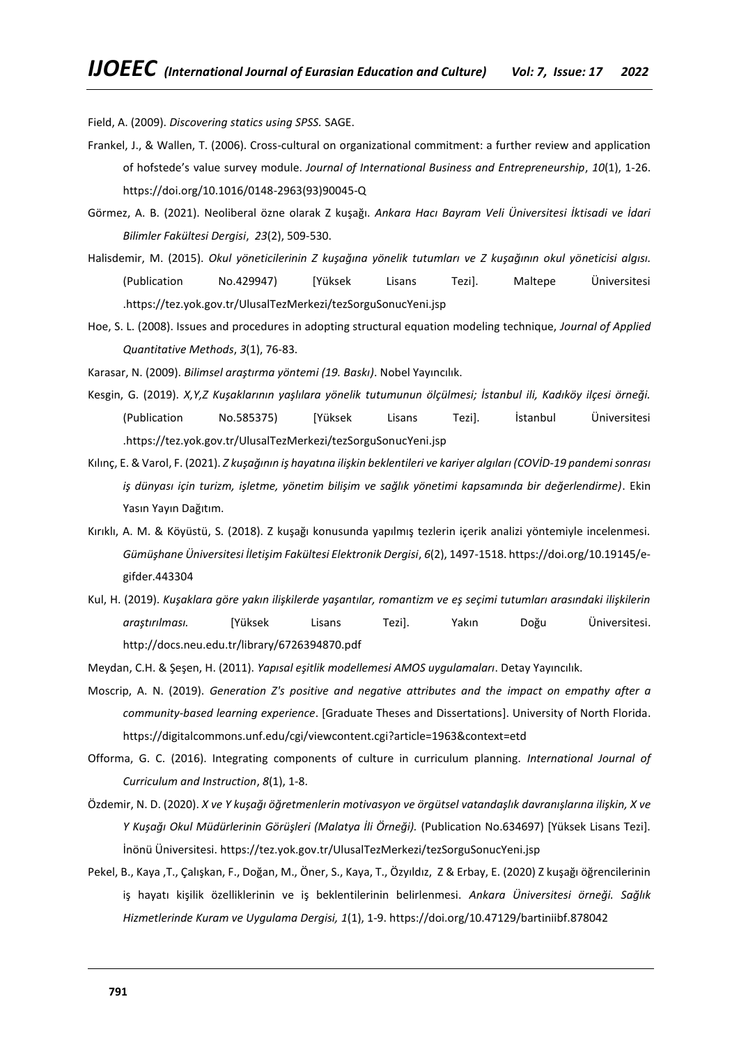Field, A. (2009). *Discovering statics using SPSS.* SAGE.

- Frankel, J., & Wallen, T. (2006). Cross-cultural on organizational commitment: a further review and application of hofstede's value survey module. *Journal of International Business and Entrepreneurship*, *10*(1), 1-26. [https://doi.org/10.1016/0148-2963\(93\)90045-Q](https://doi.org/10.1016/0148-2963(93)90045-Q)
- Görmez, A. B. (2021). Neoliberal özne olarak Z kuşağı. *Ankara Hacı Bayram Veli Üniversitesi İktisadi ve İdari Bilimler Fakültesi Dergisi*, *23*(2), 509-530.
- Halisdemir, M. (2015). *Okul yöneticilerinin Z kuşağına yönelik tutumları ve Z kuşağının okul yöneticisi algısı.* (Publication No.429947) [Yüksek Lisans Tezi]. Maltepe Üniversitesi [.https://tez.yok.gov.tr/UlusalTezMerkezi/tezSorguSonucYeni.jsp](https://tez.yok.gov.tr/UlusalTezMerkezi/tezSorguSonucYeni.jsp)
- Hoe, S. L. (2008). Issues and procedures in adopting structural equation modeling technique, *Journal of Applied Quantitative Methods*, *3*(1), 76-83.
- Karasar, N. (2009). *Bilimsel araştırma yöntemi (19. Baskı)*. Nobel Yayıncılık.
- Kesgin, G. (2019). *X,Y,Z Kuşaklarının yaşlılara yönelik tutumunun ölçülmesi; İstanbul ili, Kadıköy ilçesi örneği.* (Publication No.585375) [Yüksek Lisans Tezi]. İstanbul Üniversitesi [.https://tez.yok.gov.tr/UlusalTezMerkezi/tezSorguSonucYeni.jsp](https://tez.yok.gov.tr/UlusalTezMerkezi/tezSorguSonucYeni.jsp)
- Kılınç, E. & Varol, F. (2021). *Z kuşağının iş hayatına ilişkin beklentileri ve kariyer algıları (COVİD-19 pandemi sonrası iş dünyası için turizm, işletme, yönetim bilişim ve sağlık yönetimi kapsamında bir değerlendirme)*. Ekin Yasın Yayın Dağıtım.
- Kırıklı, A. M. & Köyüstü, S. (2018). Z kuşağı konusunda yapılmış tezlerin içerik analizi yöntemiyle incelenmesi. *Gümüşhane Üniversitesi İletişim Fakültesi Elektronik Dergisi*, *6*(2), 1497-1518[. https://doi.org/10.19145/e](https://doi.org/10.19145/e-gifder.443304)[gifder.443304](https://doi.org/10.19145/e-gifder.443304)
- Kul, H. (2019). *Kuşaklara göre yakın ilişkilerde yaşantılar, romantizm ve eş seçimi tutumları arasındaki ilişkilerin araştırılması.* [Yüksek Lisans Tezi]. Yakın Doğu Üniversitesi. <http://docs.neu.edu.tr/library/6726394870.pdf>
- Meydan, C.H. & Şeşen, H. (2011). *Yapısal eşitlik modellemesi AMOS uygulamaları*. Detay Yayıncılık.
- Moscrip, A. N. (2019). *Generation Z's positive and negative attributes and the impact on empathy after a community-based learning experience*. [Graduate Theses and Dissertations]. University of North Florida. <https://digitalcommons.unf.edu/cgi/viewcontent.cgi?article=1963&context=etd>
- Offorma, G. C. (2016). Integrating components of culture in curriculum planning*. International Journal of Curriculum and Instruction*, *8*(1), 1-8.
- Özdemir, N. D. (2020). *X ve Y kuşağı öğretmenlerin motivasyon ve örgütsel vatandaşlık davranışlarına ilişkin, X ve Y Kuşağı Okul Müdürlerinin Görüşleri (Malatya İli Örneği).* (Publication No.634697) [Yüksek Lisans Tezi]. İnönü Üniversitesi. <https://tez.yok.gov.tr/UlusalTezMerkezi/tezSorguSonucYeni.jsp>
- Pekel, B., Kaya ,T., Çalışkan, F., Doğan, M., Öner, S., Kaya, T., Özyıldız, Z & Erbay, E. (2020) Z kuşağı öğrencilerinin iş hayatı kişilik özelliklerinin ve iş beklentilerinin belirlenmesi. *Ankara Üniversitesi örneği. Sağlık Hizmetlerinde Kuram ve Uygulama Dergisi, 1*(1), 1-9.<https://doi.org/10.47129/bartiniibf.878042>